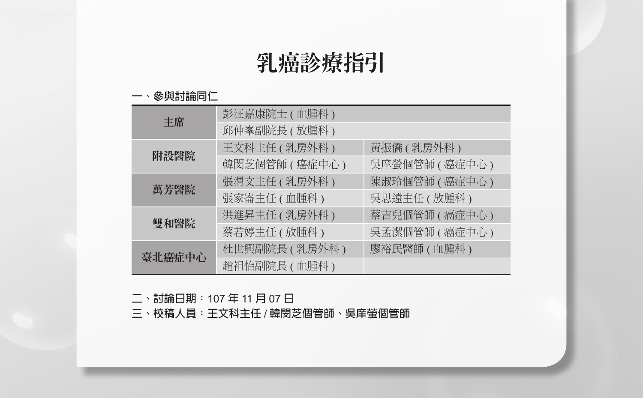# 乳癌診療指引

#### **一、參與討論同仁**

|        | 彭汪嘉康院士 ( 血腫科 )  |                 |
|--------|-----------------|-----------------|
| 主席     | 邱仲峯副院長(放腫科)     |                 |
| 附設醫院   | 王文科主任 ( 乳房外科 )  | 黃振僑 (乳房外科)      |
|        | 韓閔芝個管師(癌症中心)    | 吳庠螢個管師 ( 癌症中心 ) |
| 萬芳醫院   | 張渭文主任 ( 乳房外科 )  | 陳淑玲個管師 ( 癌症中心 ) |
|        | 張家崙主任 ( 血腫科 )   | 吳思遠主任 ( 放腫科 )   |
|        | 洪進昇主任 ( 乳房外科 )  | 蔡吉兒個管師 ( 癌症中心 ) |
| 雙和醫院   | 蔡若婷主任 ( 放腫科 )   | 吳孟潔個管師 ( 癌症中心 ) |
| 臺北癌症中心 | 杜世興副院長 ( 乳房外科 ) | 廖裕民醫師 (血腫科)     |
|        | 趙祖怡副院長(血腫科)     |                 |

**二、討論日期:**107 **年** 11 **月** 07 **日**

**三、校稿人員:王文科主任** / **韓閔芝個管師、吳庠螢個管師**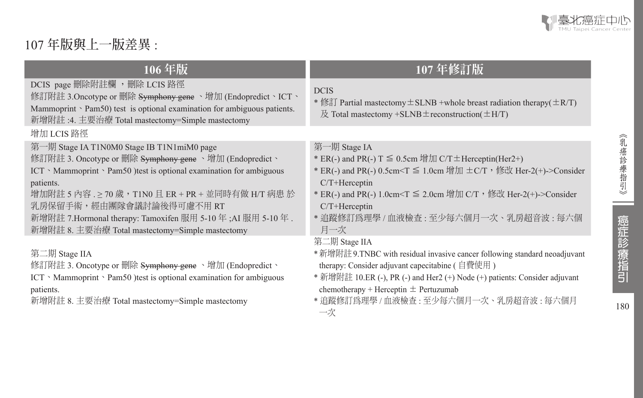

## 107 **年版與上一版差異** :

| 106年版                                                                                                                                                                                                                                    | 107年修訂版                                                                                                                                                                                                                                                                                                                     |
|------------------------------------------------------------------------------------------------------------------------------------------------------------------------------------------------------------------------------------------|-----------------------------------------------------------------------------------------------------------------------------------------------------------------------------------------------------------------------------------------------------------------------------------------------------------------------------|
| DCIS page 刪除附註欄 ,刪除 LCIS 路徑<br>修訂附註 3.Oncotype or 刪除 S <del>ymphony gene</del> 、增加 (Endopredict、ICT、<br>Mammoprint $\ge$ Pam50) test is optional examination for ambiguous patients.<br>新增附註 :4. 主要治療 Total mastectomy=Simple mastectomy | <b>DCIS</b><br>* 修訂 Partial mastectomy $\pm$ SLNB +whole breast radiation therapy( $\pm$ R/T)<br>$\&$ Total mastectomy +SLNB $\pm$ reconstruction( $\pm$ H/T)                                                                                                                                                               |
| 增加 LCIS 路徑                                                                                                                                                                                                                               |                                                                                                                                                                                                                                                                                                                             |
| 第一期 Stage IA T1N0M0 Stage IB T1N1miM0 page<br>修訂附註 3. Oncotype or 刪除 S <del>ymphony gene</del> 、增加 (Endopredict、<br>$ICT \cdot Mammoprint \cdot Pam50$ ) test is optional examination for ambiguous<br>patients.                         | 第一期 Stage IA<br><sup>*</sup> ER(-) and PR(-) T $\leq$ 0.5cm 增加 C/T $\pm$ Herceptin(Her2+)<br>* ER(-) and PR(-) 0.5cm <t ,="" 1.0cm="" c="" her-2(+)-="" t="" ±="" ≤="" 修改="" 增加="">Consider<br/><math>C/T+Here</math>eptin</t>                                                                                              |
| 增加附註 5 內容 .≥ 70 歲,T1N0 且 ER + PR + 並同時有做 H/T 病患 於<br>乳房保留手術,經由團隊會議討論後得可慮不用 RT<br>新增附註 7.Hormonal therapy: Tamoxifen 服用 5-10 年; AI 服用 5-10 年.<br>新增附註 8. 主要治療 Total mastectomy=Simple mastectomy                                          | * ER(-) and PR(-) 1.0cm <t ,="" 2.0cm="" c="" her-2(+)-="" t="" ≤="" 修改="" 增加="">Consider<br/>C/T+Herceptin<br/>* 追蹤修訂爲理學 / 血液檢查 : 至少每六個月一次、乳房超音波 : 每六個<br/>月一次</t>                                                                                                                                                         |
| 第二期 Stage IIA<br>修訂附註 3. Oncotype or 刪除 Symphony gene 、增加 (Endopredict、<br>ICT > Mammoprint > Pam50 ) test is optional examination for ambiguous<br>patients.<br>新增附註 8. 主要治療 Total mastectomy=Simple mastectomy                         | 第二期 Stage IIA<br>* 新增附註 9.TNBC with residual invasive cancer following standard neoadjuvant<br>therapy: Consider adjuvant capecitabine ( 自費使用)<br>* 新增附註 10.ER (-), PR (-) and Her2 (+) Node (+) patients: Consider adjuvant<br>chemotherapy + Herceptin $\pm$ Pertuzumab<br>* 追蹤修訂爲理學 / 血液檢查 : 至少每六個月一次、乳房超音波 : 每六個月<br>一次 |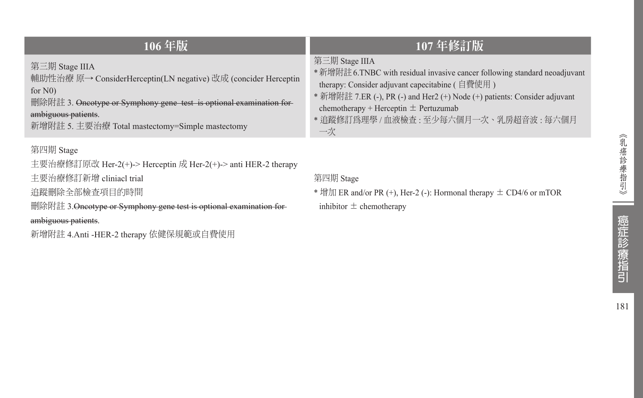| 106年版                                                                                                                                                                                                                                           | 107年修訂版                                                                                                                                                                                                                                                                                                                          |
|-------------------------------------------------------------------------------------------------------------------------------------------------------------------------------------------------------------------------------------------------|----------------------------------------------------------------------------------------------------------------------------------------------------------------------------------------------------------------------------------------------------------------------------------------------------------------------------------|
| 第三期 Stage IIIA<br>輔助性治療 原→ ConsiderHerceptin(LN negative) 改成 (concider Herceptin<br>for $N0$ )<br>删除附註 3. Oncotype or Symphony gene test is optional examination for-<br>ambiguous patients.<br>新增附註 5. 主要治療 Total mastectomy=Simple mastectomy | 第三期 Stage IIIA<br>* 新增附註 6.TNBC with residual invasive cancer following standard neoadjuvant<br>therapy: Consider adjuvant capecitabine $($ 自費使用 $)$<br>* 新增附註 7.ER (-), PR (-) and Her2 (+) Node (+) patients: Consider adjuvant<br>chemotherapy + Herceptin $\pm$ Pertuzumab<br>* 追蹤修訂爲理學 / 血液檢查 : 至少每六個月一次、乳房超音波 : 每六個月<br>一次 |
| 第四期 Stage<br>主要治療修訂原改 Her-2(+)-> Herceptin 成 Her-2(+)-> anti HER-2 therapy                                                                                                                                                                      |                                                                                                                                                                                                                                                                                                                                  |

第四期 Stage

 $*$  增加 ER and/or PR (+), Her-2 (-): Hormonal therapy  $\pm$  CD4/6 or mTOR inhibitor  $\pm$  chemotherapy

主要治療修訂新增 cliniacl trial 追蹤刪除全部檢查項目的時間

新增附註 4.Anti -HER-2 therapy 依健保規範或自費使用

《乳癌診療指引》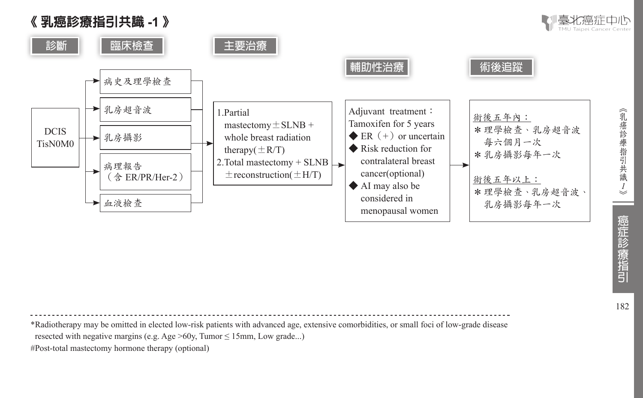

\*Radiotherapy may be omitted in elected low-risk patients with advanced age, extensive comorbidities, or small foci of low-grade disease resected with negative margins (e.g. Age  $>60y$ , Tumor  $\leq 15$ mm, Low grade...) #Post-total mastectomy hormone therapy (optional)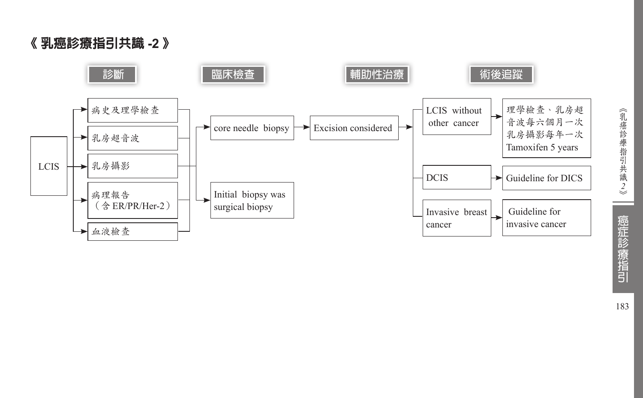《 乳癌診療指引共識 **-2** 》

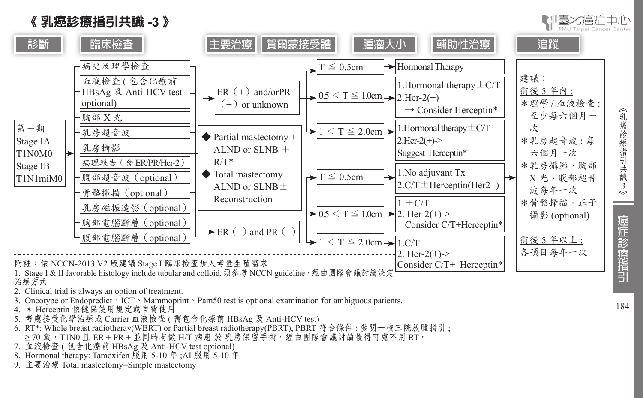



- 1. Stage I & II favorable histology include tubular and colloid. 須參考 NCCN guideline,經由團隊會議討論決定 治療方式
- 2. Clinical trial is always an option of treatment.
- 3. Oncotype or Endopredict、ICT、Mammoprint、Pam50 test is optional examination for ambiguous patients.
- 4. \* Herceptin 依健保使用規定或自費使用
- 5. 考慮接受化學治療或 Carrier 血液檢查 ( 需包含化療前 HBsAg 及 Anti-HCV test)
- 6. RT\*: Whole breast radiotheray(WBRT) or Partial breast radiotherapy(PBRT), PBRT 符合條件 : 參閱一校三院放腫指引 ;  $>$  70 歲,T1N0 且 ER + PR + 並同時有做 H/T 病患 於 乳房保留手術,經由團隊會議討論後得可慮不用 RT。
- 7. 血液檢查 ( 包含化療前 HBsAg 及 Anti-HCV test optional)
- 8. Hormonal therapy: Tamoxifen 服用 5-10 年 ;AI 服用 5-10 年 .
- 9. 主要治療 Total mastectomy=Simple mastectomy

癌症診療指引

毫北癌症由心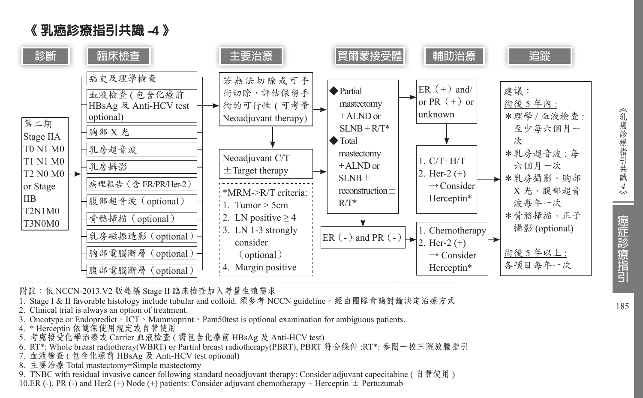



附註:依 NCCN-2013.V2 版建議 Stage II 臨床檢查加入考量生殖需求

1. Stage I & II favorable histology include tubular and colloid. 須參考 NCCN guideline, 經由團隊會議討論決定治療方式

- 2. Clinical trial is always an option of treatment.
- 3. Oncotype or Endopredict、ICT、Mammoprint、Pam50test is optional examination for ambiguous patients.
- 4. \* Herceptin 依健保使用規定或自費使用
- 5. 考慮接受化學治療或 Carrier 血液檢查 ( 需包含化療前 HBsAg 及 Anti-HCV test)
- 6. RT\*: Whole breast radiotheray(WBRT) or Partial breast radiotherapy(PBRT), PBRT 符合條件 :RT\*: 參閱一校三院放腫指引
- 7. 血液檢查 ( 包含化療前 HBsAg 及 Anti-HCV test optional)
- 8. 主要治療 Total mastectomy=Simple mastectomy

9. TNBC with residual invasive cancer following standard neoadjuvant therapy: Consider adjuvant capecitabine ( 自費使用 )

10.ER (-), PR (-) and Her2 (+) Node (+) patients: Consider adjuvant chemotherapy + Herceptin  $\pm$  Pertuzumab

癌症診療指引

185

*4*

《乳癌診療指引共識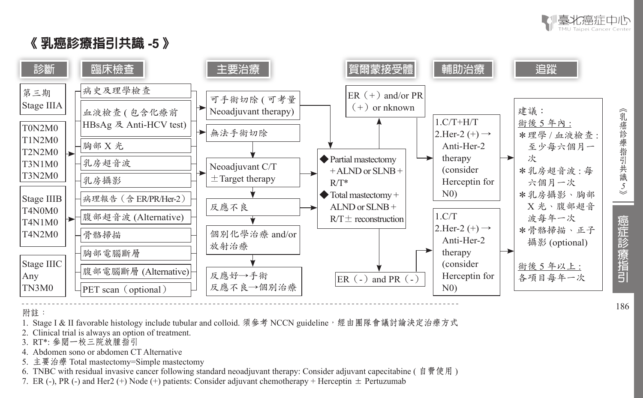

## 《 乳癌診療指引共識 **-5** 》



附註:

- 1. Stage I & II favorable histology include tubular and colloid. 須參考 NCCN guideline,經由團隊會議討論決定治療方式
- 2. Clinical trial is always an option of treatment.
- 3. RT\*: 參閱一校三院放腫指引
- 4. Abdomen sono or abdomen CT Alternative
- 5. 主要治療 Total mastectomy=Simple mastectomy
- 6. TNBC with residual invasive cancer following standard neoadjuvant therapy: Consider adjuvant capecitabine ( 自費使用 )
- 7. ER (-), PR (-) and Her2 (+) Node (+) patients: Consider adjuvant chemotherapy + Herceptin  $\pm$  Pertuzumab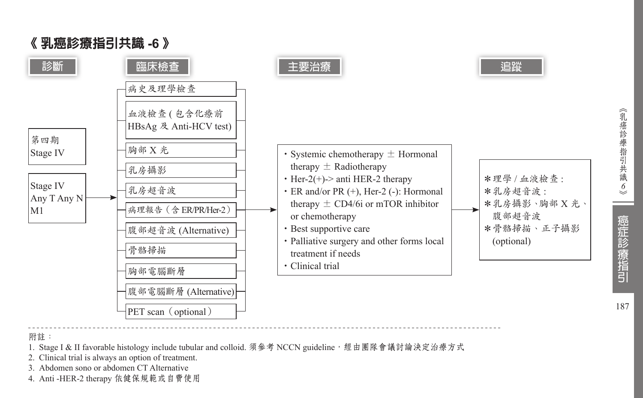

*6*

《乳癌診療指引共識

187

癌症診療指引

### 《 乳癌診療指引共識 **-6** 》

附註:

- 1. Stage I & II favorable histology include tubular and colloid. 須參考 NCCN guideline, 經由團隊會議討論決定治療方式
- 2. Clinical trial is always an option of treatment.
- 3. Abdomen sono or abdomen CT Alternative
- 4. Anti -HER-2 therapy 依健保規範或自費使用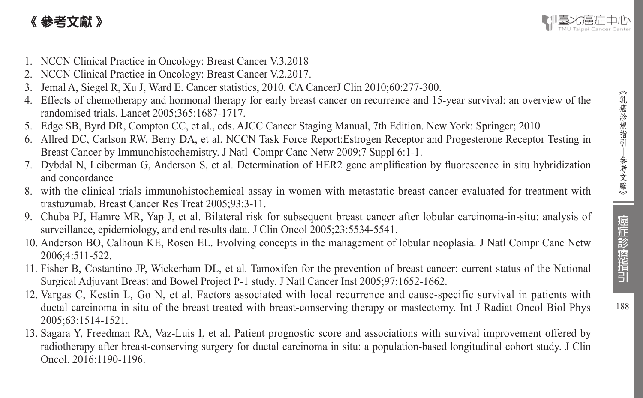## 《 參考文獻 》



- 1. NCCN Clinical Practice in Oncology: Breast Cancer V.3.2018
- 2. NCCN Clinical Practice in Oncology: Breast Cancer V.2.2017.
- 3. Jemal A, Siegel R, Xu J, Ward E. Cancer statistics, 2010. CA CancerJ Clin 2010;60:277-300.
- 4. Effects of chemotherapy and hormonal therapy for early breast cancer on recurrence and 15-year survival: an overview of the randomised trials. Lancet 2005;365:1687-1717.
- 5. Edge SB, Byrd DR, Compton CC, et al., eds. AJCC Cancer Staging Manual, 7th Edition. New York: Springer; 2010
- 6. Allred DC, Carlson RW, Berry DA, et al. NCCN Task Force Report:Estrogen Receptor and Progesterone Receptor Testing in Breast Cancer by Immunohistochemistry. J Natl Compr Canc Netw 2009;7 Suppl 6:1-1.
- 7. Dybdal N, Leiberman G, Anderson S, et al. Determination of HER2 gene amplification by fluorescence in situ hybridization and concordance
- 8. with the clinical trials immunohistochemical assay in women with metastatic breast cancer evaluated for treatment with trastuzumab. Breast Cancer Res Treat 2005;93:3-11.
- 9. Chuba PJ, Hamre MR, Yap J, et al. Bilateral risk for subsequent breast cancer after lobular carcinoma-in-situ: analysis of surveillance, epidemiology, and end results data. J Clin Oncol 2005;23:5534-5541.
- 10. Anderson BO, Calhoun KE, Rosen EL. Evolving concepts in the management of lobular neoplasia. J Natl Compr Canc Netw 2006;4:511-522.
- 11. Fisher B, Costantino JP, Wickerham DL, et al. Tamoxifen for the prevention of breast cancer: current status of the National Surgical Adjuvant Breast and Bowel Project P-1 study. J Natl Cancer Inst 2005;97:1652-1662.
- 12. Vargas C, Kestin L, Go N, et al. Factors associated with local recurrence and cause-specific survival in patients with ductal carcinoma in situ of the breast treated with breast-conserving therapy or mastectomy. Int J Radiat Oncol Biol Phys 2005;63:1514-1521.
- 13. Sagara Y, Freedman RA, Vaz-Luis I, et al. Patient prognostic score and associations with survival improvement offered by radiotherapy after breast-conserving surgery for ductal carcinoma in situ: a population-based longitudinal cohort study. J Clin Oncol. 2016:1190-1196.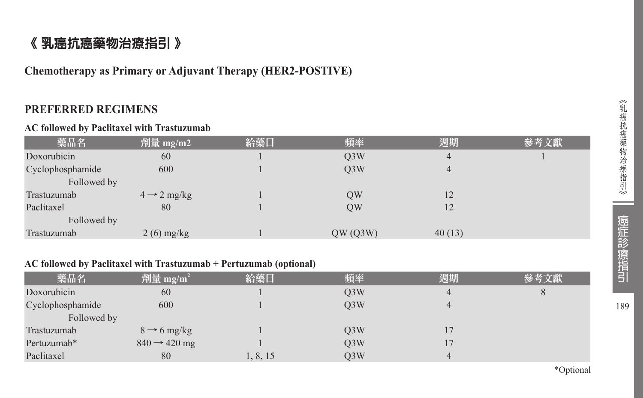## 《 乳癌抗癌藥物治療指引 》

**Chemotherapy as Primary or Adjuvant Therapy (HER2-POSTIVE)**

## **PREFERRED REGIMENS**

#### **AC followed by Paclitaxel with Trastuzumab**

| 藥品名              | 劑量 mg/m2                | 給藥日 | 頻率               | 週期             | 參考文獻 |
|------------------|-------------------------|-----|------------------|----------------|------|
| Doxorubicin      | 60                      |     | Q <sub>3</sub> W | $\overline{4}$ |      |
| Cyclophosphamide | 600                     |     | Q <sub>3</sub> W | $\overline{4}$ |      |
| Followed by      |                         |     |                  |                |      |
| Trastuzumab      | $4 \rightarrow 2$ mg/kg |     | QW               | 12             |      |
| Paclitaxel       | 80                      |     | QW               | 12             |      |
| Followed by      |                         |     |                  |                |      |
| Trastuzumab      | $2(6)$ mg/kg            |     | QW(Q3W)          | 40(13)         |      |

#### **AC followed by Paclitaxel with Trastuzumab + Pertuzumab (optional)**

| 藥品名              | 劑量 mg/m <sup>2</sup>     | 給藥日      | 頻率               | 週期 | 參考文獻 |
|------------------|--------------------------|----------|------------------|----|------|
| Doxorubicin      | 60                       |          | O <sub>3</sub> W | 4  |      |
| Cyclophosphamide | 600                      |          | O <sub>3</sub> W | 4  |      |
| Followed by      |                          |          |                  |    |      |
| Trastuzumab      | $8 \rightarrow 6$ mg/kg  |          | O <sub>3</sub> W |    |      |
| Pertuzumab*      | $840 \rightarrow 420$ mg |          | Q <sub>3</sub> W |    |      |
| Paclitaxel       | 80                       | 1, 8, 15 | Q <sub>3</sub> W | 4  |      |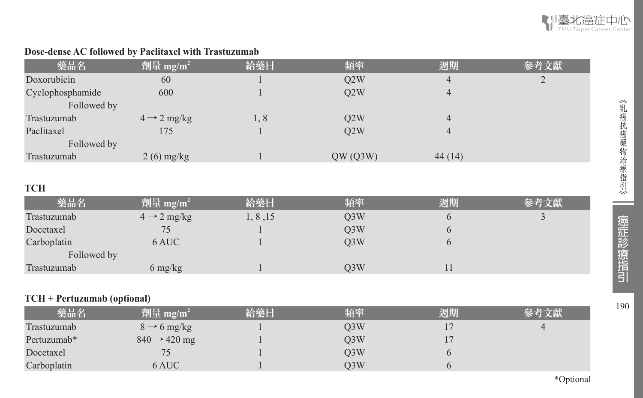

## **Dose-dense AC followed by Paclitaxel with Trastuzumab**

| 藥品名              | 劑量 mg/m <sup>2</sup>    | 給藥日 | 頻率      | 週期     | 參考文獻 |
|------------------|-------------------------|-----|---------|--------|------|
| Doxorubicin      | 60                      |     | Q2W     | 4      |      |
| Cyclophosphamide | 600                     |     | Q2W     |        |      |
| Followed by      |                         |     |         |        |      |
| Trastuzumab      | $4 \rightarrow 2$ mg/kg | 1,8 | Q2W     |        |      |
| Paclitaxel       | 175                     |     | O2W     | 4      |      |
| Followed by      |                         |     |         |        |      |
| Trastuzumab      | $2(6)$ mg/kg            |     | QW(Q3W) | 44(14) |      |

## **TCH**

| 藥品名         | 劑量 mg/m <sup>2</sup>            | 給藥日      | 頻率               | 週期 | 參考文獻 |
|-------------|---------------------------------|----------|------------------|----|------|
| Trastuzumab | $4 \rightarrow 2$ mg/kg         | 1, 8, 15 | Q <sub>3</sub> W |    |      |
| Docetaxel   |                                 |          | O <sub>3</sub> W |    |      |
| Carboplatin | 6 AUC                           |          | O <sub>3</sub> W |    |      |
| Followed by |                                 |          |                  |    |      |
| Trastuzumab | $6 \frac{\text{mg}}{\text{kg}}$ |          | O3W              |    |      |

#### **TCH + Pertuzumab (optional)**

| 藥品名         | 劑量 mg/m <sup>2</sup>     | 給藥日 | 頻率  | 週期 | 參考文獻 |
|-------------|--------------------------|-----|-----|----|------|
| Trastuzumab | $8 \rightarrow 6$ mg/kg  |     | O3W |    |      |
| Pertuzumab* | $840 \rightarrow 420$ mg |     | O3W |    |      |
| Docetaxel   |                          |     | O3W |    |      |
| Carboplatin | 6 AUC                    |     | O3W |    |      |

\*Optional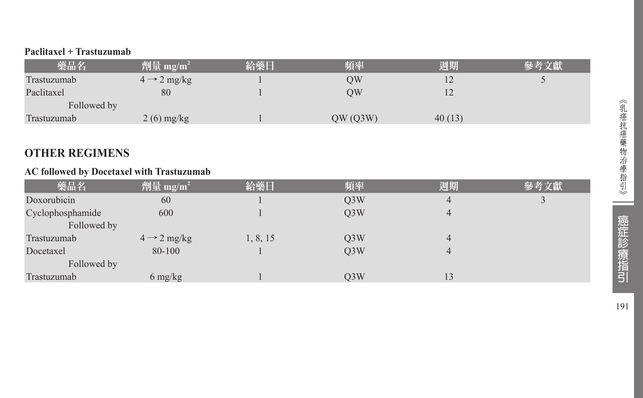#### **Paclitaxel + Trastuzumab**

| 藥品名         | 劑量 mg/m <sup>2</sup>    | 給藥日 | 頻率      | 週期     |  |
|-------------|-------------------------|-----|---------|--------|--|
| Trastuzumab | $4 \rightarrow 2$ mg/kg |     | OW      | 12     |  |
| Paclitaxel  | 80                      |     | OW      | 12     |  |
| Followed by |                         |     |         |        |  |
| Trastuzumab | $2(6)$ mg/kg            |     | QW(Q3W) | 40(13) |  |

## **OTHER REGIMENS**

#### **AC followed by Docetaxel with Trastuzumab**

| 藥品名              | 劑量 mg/m <sup>2</sup>    | 給藥日      | 頻率               | 週期 | 參考文獻 |
|------------------|-------------------------|----------|------------------|----|------|
| Doxorubicin      | 60                      |          | Q <sub>3</sub> W | 4  |      |
| Cyclophosphamide | 600                     |          | Q <sub>3</sub> W | 4  |      |
| Followed by      |                         |          |                  |    |      |
| Trastuzumab      | $4 \rightarrow 2$ mg/kg | 1, 8, 15 | Q <sub>3</sub> W | 4  |      |
| Docetaxel        | 80-100                  |          | Q <sub>3</sub> W | 4  |      |
| Followed by      |                         |          |                  |    |      |
| Trastuzumab      | 6 mg/kg                 |          | Q3W              | 13 |      |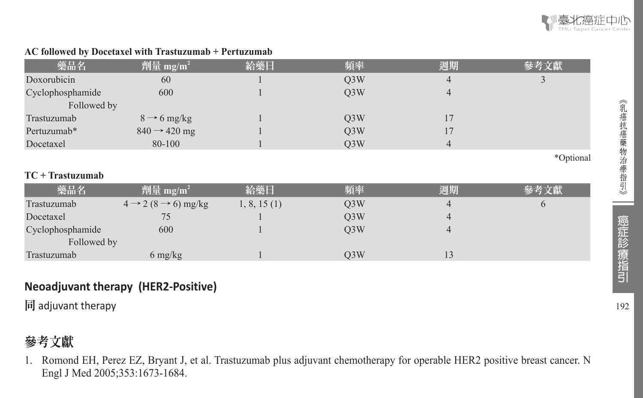

#### **AC followed by Docetaxel with Trastuzumab + Pertuzumab**

| 藥品名                | 劑量 mg/m <sup>2</sup>                      | 給藥日         | 頻率               | 週期             | 參考文獻      |
|--------------------|-------------------------------------------|-------------|------------------|----------------|-----------|
| Doxorubicin        | 60                                        |             | Q <sub>3</sub> W | 4              |           |
| Cyclophosphamide   | 600                                       |             | Q <sub>3</sub> W | $\overline{4}$ |           |
| Followed by        |                                           |             |                  |                |           |
| Trastuzumab        | $8 \rightarrow 6$ mg/kg                   |             | Q <sub>3</sub> W | 17             |           |
| Pertuzumab*        | $840 \rightarrow 420$ mg                  |             | Q <sub>3</sub> W | 17             |           |
| Docetaxel          | 80-100                                    |             | Q <sub>3</sub> W | 4              |           |
|                    |                                           |             |                  |                | *Optional |
| $TC + Trastuzumab$ |                                           |             |                  |                |           |
| 藥品名                | 劑量 mg/m <sup>2</sup>                      | 給藥日         | 頻率               | 週期             | 參考文獻      |
| Trastuzumab        | $4 \rightarrow 2 (8 \rightarrow 6)$ mg/kg | 1, 8, 15(1) | Q <sub>3</sub> W | 4              | $\theta$  |
| Docetaxel          | 75                                        |             | Q <sub>3</sub> W | $\overline{4}$ |           |
| Cyclophosphamide   | 600                                       |             | Q <sub>3</sub> W | 4              |           |
| Followed by        |                                           |             |                  |                |           |
| Trastuzumab        | $6 \frac{\text{mg}}{\text{kg}}$           |             | Q <sub>3</sub> W | 13             |           |

## **Neoadjuvant therapy (HER2-Positive)**

同 adjuvant therapy

## 參考文獻

1. Romond EH, Perez EZ, Bryant J, et al. Trastuzumab plus adjuvant chemotherapy for operable HER2 positive breast cancer. N Engl J Med 2005;353:1673-1684.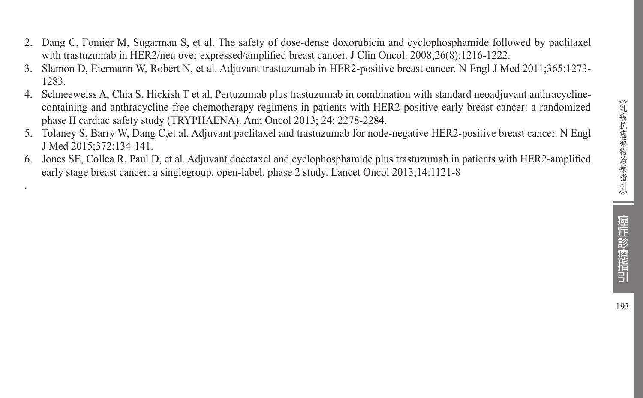193

- 2. Dang C, Fomier M, Sugarman S, et al. The safety of dose-dense doxorubicin and cyclophosphamide followed by paclitaxel with trastuzumab in HER2/neu over expressed/amplified breast cancer. J Clin Oncol. 2008;26(8):1216-1222.
- 3. Slamon D, Eiermann W, Robert N, et al. Adjuvant trastuzumab in HER2-positive breast cancer. N Engl J Med 2011;365:1273- 1283.
- 4. Schneeweiss A, Chia S, Hickish T et al. Pertuzumab plus trastuzumab in combination with standard neoadjuvant anthracyclinecontaining and anthracycline-free chemotherapy regimens in patients with HER2-positive early breast cancer: a randomized phase II cardiac safety study (TRYPHAENA). Ann Oncol 2013; 24: 2278-2284.
- 5. Tolaney S, Barry W, Dang C,et al. Adjuvant paclitaxel and trastuzumab for node-negative HER2-positive breast cancer. N Engl J Med 2015;372:134-141.
- 6. Jones SE, Collea R, Paul D, et al. Adjuvant docetaxel and cyclophosphamide plus trastuzumab in patients with HER2-amplified early stage breast cancer: a singlegroup, open-label, phase 2 study. Lancet Oncol 2013;14:1121-8

.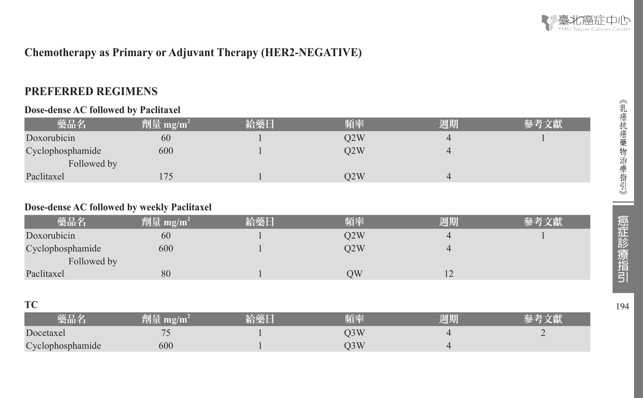

## **Chemotherapy as Primary or Adjuvant Therapy (HER2-NEGATIVE)**

## **PREFERRED REGIMENS**

#### **Dose-dense AC followed by Paclitaxel**

| 藥品名              | 劑量 mg/m <sup>2</sup> | 給藥日 | 頻率  | 週期 | 參考文獻 |
|------------------|----------------------|-----|-----|----|------|
| Doxorubicin      | 60                   |     | O2W |    |      |
| Cyclophosphamide | 600                  |     | O2W |    |      |
| Followed by      |                      |     |     |    |      |
| Paclitaxel       |                      |     | O2W |    |      |

#### **Dose-dense AC followed by weekly Paclitaxel**

| 藥品名              | 劑量 mg/m <sup>2</sup> | 給藥日 | 踊座  | 週期      |  |
|------------------|----------------------|-----|-----|---------|--|
| Doxorubicin      | 60                   |     | O2W |         |  |
| Cyclophosphamide | 600                  |     | O2W |         |  |
| Followed by      |                      |     |     |         |  |
| Paclitaxel       | 80                   |     | ЭW  | $\perp$ |  |

#### **TC**

| 藥品名              |        |                      | 週期 |  |
|------------------|--------|----------------------|----|--|
| Docetaxel        | $\sim$ | $\cup$ $\cup$ $\vee$ |    |  |
| Cyclophosphamide | 600    |                      |    |  |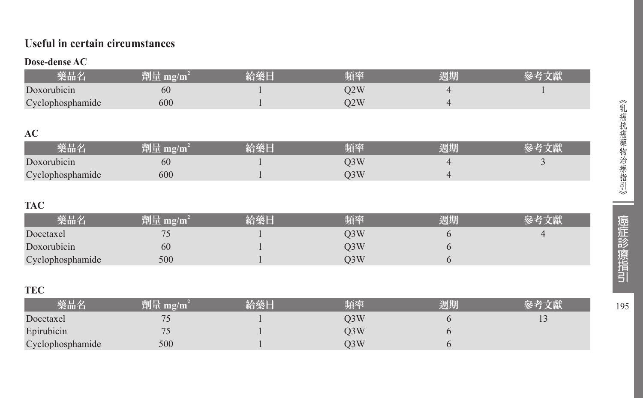## **Useful in certain circumstances**

#### **Dose-dense AC**

|                  |     | 百本  | 週期 |  |
|------------------|-----|-----|----|--|
| Doxorubicin      | 60  | )2W |    |  |
| Cyclophosphamide | 600 | 2W  |    |  |
|                  |     |     |    |  |

#### **AC**

| жш                                          | 78 I L<br>mg/m<br>יים ויר | $\overline{\mathbf{A}}$ | 25 E | 週期 |  |
|---------------------------------------------|---------------------------|-------------------------|------|----|--|
| $\mathbf{r}$<br>orubicin<br>DO <sup>2</sup> | 60                        |                         | ◡◡▾  |    |  |
| ophosphamide                                | 600                       |                         | UJ W |    |  |

## **TAC**

| 藥品名              | $mg/m^2$<br>削重 | 給藥日 | 頻率  | 週期 | 经老女啊 |
|------------------|----------------|-----|-----|----|------|
| Docetaxel        | $\mathcal{L}$  |     | )3W |    |      |
| Doxorubicin      | 60             |     | )3W |    |      |
| Cyclophosphamide | 500            |     | )3W |    |      |

#### **TEC**

| 樂品名              | 劑量<br>$\mathbf{m}\mathbf{g}/\mathbf{m}$ | 給藥厂 | 頻率  | 周期 |                |
|------------------|-----------------------------------------|-----|-----|----|----------------|
| Docetaxel        |                                         |     | O3W |    | $\overline{1}$ |
| Epirubicin       |                                         |     | O3W |    |                |
| Cyclophosphamide | 500                                     |     | O3W |    |                |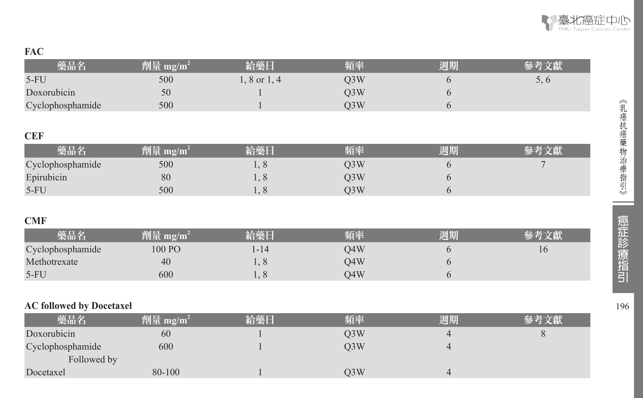## **FAC**

| 藥品名                             | $\sqrt{m}$ 量 mg/m <sup>2</sup> | 給藥日              | 頻率  | 週期             | 參考文獻 |
|---------------------------------|--------------------------------|------------------|-----|----------------|------|
| $5-FU$                          | 500                            | $1, 8$ or $1, 4$ | Q3W | 6              | 5, 6 |
| Doxorubicin                     | 50                             |                  | Q3W | 6              |      |
| Cyclophosphamide                | 500                            |                  | Q3W | 6              |      |
|                                 |                                |                  |     |                |      |
| <b>CEF</b>                      |                                |                  |     |                |      |
| 藥品名                             | 劑量 mg/m <sup>2</sup>           | 給藥日              | 頻率  | 週期             | 參考文獻 |
| Cyclophosphamide                | 500                            | 1, 8             | Q3W | 6              | 7    |
| Epirubicin                      | 80                             | 1,8              | Q3W | 6              |      |
| $5-FU$                          | 500                            | 1, 8             | Q3W | 6              |      |
|                                 |                                |                  |     |                |      |
| <b>CMF</b>                      |                                |                  |     |                |      |
| 藥品名                             | 劑量 mg/m <sup>2</sup>           | 給藥日              | 頻率  | 週期             | 參考文獻 |
| Cyclophosphamide                | 100 PO                         | $1 - 14$         | Q4W | 6              | 16   |
| Methotrexate                    | 40                             | 1,8              | Q4W | 6              |      |
| $5-FU$                          | 600                            | 1,8              | Q4W | 6              |      |
|                                 |                                |                  |     |                |      |
| <b>AC followed by Docetaxel</b> |                                |                  |     |                |      |
| 藥品名                             | 劑量 mg/m <sup>2</sup>           | 給藥日              | 頻率  | 週期             | 參考文獻 |
| Doxorubicin                     | 60                             |                  | Q3W | $\overline{4}$ | 8    |
| Cyclophosphamide                | 600                            |                  | Q3W | $\overline{4}$ |      |
| Followed by                     |                                |                  |     |                |      |
| Docetaxel                       | 80-100                         |                  | Q3W | $\overline{4}$ |      |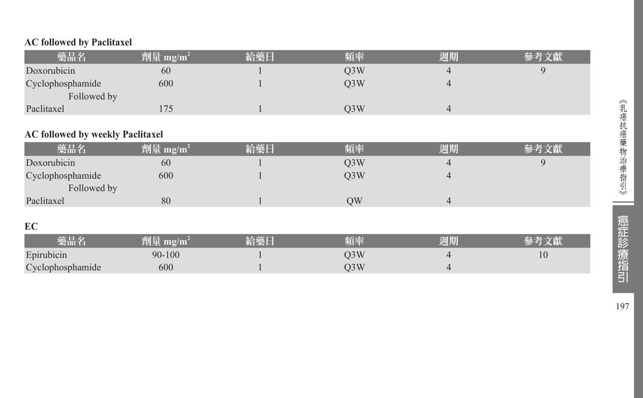|  |  |  | <b>AC followed by Paclitaxel</b> |
|--|--|--|----------------------------------|
|--|--|--|----------------------------------|

| 藥品名                                     | 劑量 mg/m <sup>2</sup> | 給藥日 | 頻率               | 週期             | 參考文獻 |
|-----------------------------------------|----------------------|-----|------------------|----------------|------|
| Doxorubicin                             | 60                   |     | Q <sub>3</sub> W | 4              | 9    |
| Cyclophosphamide                        | 600                  |     | Q3W              | $\overline{4}$ |      |
| Followed by                             |                      |     |                  |                |      |
| Paclitaxel                              | 175                  |     | Q <sub>3</sub> W | $\overline{4}$ |      |
|                                         |                      |     |                  |                |      |
| <b>AC followed by weekly Paclitaxel</b> |                      |     |                  |                |      |
| 藥品名                                     | 劑量 mg/m <sup>2</sup> | 給藥日 | 頻率               | 週期             | 參考文獻 |
| Doxorubicin                             | 60                   |     | Q <sub>3</sub> W | 4              | 9    |
| Cyclophosphamide                        | 600                  |     | Q <sub>3</sub> W | $\overline{4}$ |      |
| Followed by                             |                      |     |                  |                |      |
| Paclitaxel                              | 80                   |     | QW               | $\overline{4}$ |      |
|                                         |                      |     |                  |                |      |
| <b>EC</b>                               |                      |     |                  |                |      |
| 藥品名                                     | 劑量 mg/m <sup>2</sup> | 給藥日 | 頻率               | 週期             | 參考文獻 |
| Epirubicin                              | $90 - 100$           |     | Q <sub>3</sub> W | 4              | 10   |
| Cyclophosphamide                        | 600                  |     | Q <sub>3</sub> W | 4              |      |

197

--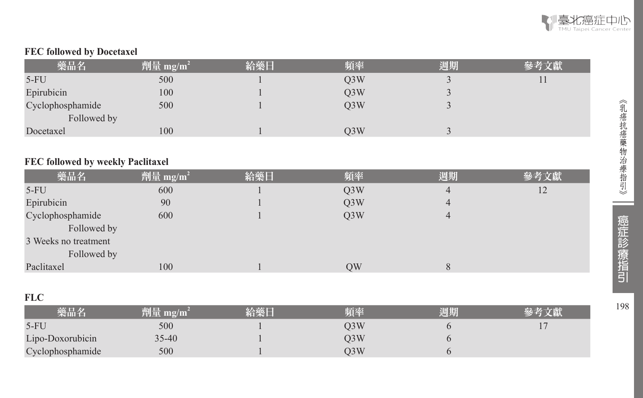

### **FEC followed by Docetaxel**

| 藥品名              | 劑量 mg/m <sup>2</sup> | 給藥日 | 頻率               | 週期 | 參考文獻 |
|------------------|----------------------|-----|------------------|----|------|
| $5-FU$           | 500                  |     | Q <sub>3</sub> W |    |      |
| Epirubicin       | 100                  |     | Q <sub>3</sub> W |    |      |
| Cyclophosphamide | 500                  |     | O3W              |    |      |
| Followed by      |                      |     |                  |    |      |
| Docetaxel        | 100                  |     | O3W              |    |      |

## **FEC followed by weekly Paclitaxel**

| 藥品名                  | 劑量 mg/m <sup>2</sup> | 給藥日 | 頻率               | 週期 | 參考文獻 |
|----------------------|----------------------|-----|------------------|----|------|
| $5-FU$               | 600                  |     | Q <sub>3</sub> W | 4  | 12   |
| Epirubicin           | 90                   |     | Q <sub>3</sub> W | 4  |      |
| Cyclophosphamide     | 600                  |     | O3W              | 4  |      |
| Followed by          |                      |     |                  |    |      |
| 3 Weeks no treatment |                      |     |                  |    |      |
| Followed by          |                      |     |                  |    |      |
| Paclitaxel           | 100                  |     | QW               | 8  |      |

### **FLC**

| -----            |                      |    |     |    |  |
|------------------|----------------------|----|-----|----|--|
| 磐晶名              | 劑量 mg/m <sup>?</sup> | 給藥 | 陌率  | 週期 |  |
| $5-FU$           | 500                  |    | J3W |    |  |
| Lipo-Doxorubicin | $35 - 40$            |    | J3W |    |  |
| Cyclophosphamide | 500                  |    | )3W |    |  |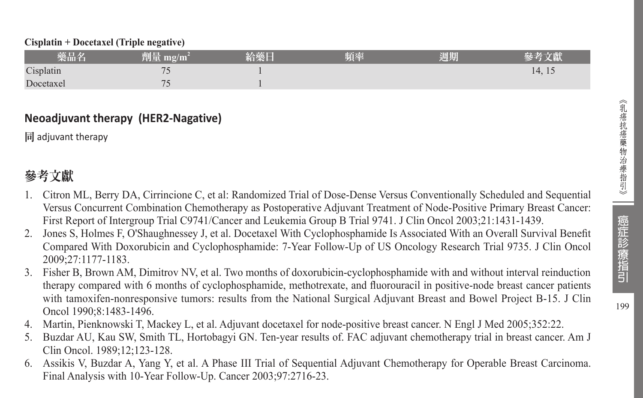#### **Cisplatin + Docetaxel (Triple negative)**

| 藥品名       | 削量<br>$m\Omega/m^2$      | 給藥日 | 頻率 | 週期 |        |
|-----------|--------------------------|-----|----|----|--------|
| Cisplatin | $\overline{\phantom{a}}$ |     |    |    | 14, 15 |
| Docetaxel | 71                       |     |    |    |        |

### **Neoadjuvant therapy (HER2-Nagative)**

同 adjuvant therapy

## 參考文獻

- 1. Citron ML, Berry DA, Cirrincione C, et al: Randomized Trial of Dose-Dense Versus Conventionally Scheduled and Sequential Versus Concurrent Combination Chemotherapy as Postoperative Adjuvant Treatment of Node-Positive Primary Breast Cancer: First Report of Intergroup Trial C9741/Cancer and Leukemia Group B Trial 9741. J Clin Oncol 2003;21:1431-1439.
- 2. Jones S, Holmes F, O'Shaughnessey J, et al. Docetaxel With Cyclophosphamide Is Associated With an Overall Survival Benefit Compared With Doxorubicin and Cyclophosphamide: 7-Year Follow-Up of US Oncology Research Trial 9735. J Clin Oncol 2009;27:1177-1183.
- 3. Fisher B, Brown AM, Dimitrov NV, et al. Two months of doxorubicin-cyclophosphamide with and without interval reinduction therapy compared with 6 months of cyclophosphamide, methotrexate, and fluorouracil in positive-node breast cancer patients with tamoxifen-nonresponsive tumors: results from the National Surgical Adjuvant Breast and Bowel Project B-15. J Clin Oncol 1990;8:1483-1496.
- 4. Martin, Pienknowski T, Mackey L, et al. Adjuvant docetaxel for node-positive breast cancer. N Engl J Med 2005;352:22.
- 5. Buzdar AU, Kau SW, Smith TL, Hortobagyi GN. Ten-year results of. FAC adjuvant chemotherapy trial in breast cancer. Am J Clin Oncol. 1989;12;123-128.
- 6. Assikis V, Buzdar A, Yang Y, et al. A Phase III Trial of Sequential Adjuvant Chemotherapy for Operable Breast Carcinoma. Final Analysis with 10-Year Follow-Up. Cancer 2003;97:2716-23.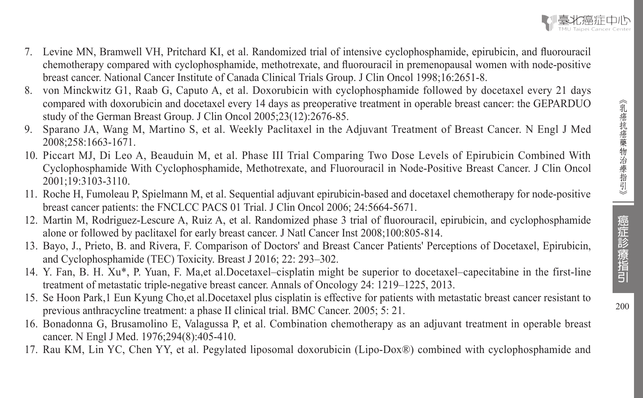- 7. Levine MN, Bramwell VH, Pritchard KI, et al. Randomized trial of intensive cyclophosphamide, epirubicin, and fluorouracil chemotherapy compared with cyclophosphamide, methotrexate, and fluorouracil in premenopausal women with node-positive breast cancer. National Cancer Institute of Canada Clinical Trials Group. J Clin Oncol 1998;16:2651-8.
- 8. von Minckwitz G1, Raab G, Caputo A, et al. Doxorubicin with cyclophosphamide followed by docetaxel every 21 days compared with doxorubicin and docetaxel every 14 days as preoperative treatment in operable breast cancer: the GEPARDUO study of the German Breast Group. J Clin Oncol 2005;23(12):2676-85.
- 9. Sparano JA, Wang M, Martino S, et al. Weekly Paclitaxel in the Adjuvant Treatment of Breast Cancer. N Engl J Med 2008;258:1663-1671.
- 10. Piccart MJ, Di Leo A, Beauduin M, et al. Phase III Trial Comparing Two Dose Levels of Epirubicin Combined With Cyclophosphamide With Cyclophosphamide, Methotrexate, and Fluorouracil in Node-Positive Breast Cancer. J Clin Oncol 2001;19:3103-3110.
- 11. Roche H, Fumoleau P, Spielmann M, et al. Sequential adjuvant epirubicin-based and docetaxel chemotherapy for node-positive breast cancer patients: the FNCLCC PACS 01 Trial. J Clin Oncol 2006; 24:5664-5671.
- 12. Martin M, Rodriguez-Lescure A, Ruiz A, et al. Randomized phase 3 trial of fluorouracil, epirubicin, and cyclophosphamide alone or followed by paclitaxel for early breast cancer. J Natl Cancer Inst 2008;100:805-814.
- 13. Bayo, J., Prieto, B. and Rivera, F. Comparison of Doctors' and Breast Cancer Patients' Perceptions of Docetaxel, Epirubicin, and Cyclophosphamide (TEC) Toxicity. Breast J 2016; 22: 293–302.
- 14. Y. Fan, B. H. Xu\*, P. Yuan, F. Ma,et al.Docetaxel–cisplatin might be superior to docetaxel–capecitabine in the first-line treatment of metastatic triple-negative breast cancer. Annals of Oncology 24: 1219–1225, 2013.
- 15. Se Hoon Park,1 Eun Kyung Cho,et al.Docetaxel plus cisplatin is effective for patients with metastatic breast cancer resistant to previous anthracycline treatment: a phase II clinical trial. BMC Cancer. 2005; 5: 21.
- 16. Bonadonna G, Brusamolino E, Valagussa P, et al. Combination chemotherapy as an adjuvant treatment in operable breast cancer. N Engl J Med. 1976;294(8):405-410.
- 17. Rau KM, Lin YC, Chen YY, et al. Pegylated liposomal doxorubicin (Lipo-Dox®) combined with cyclophosphamide and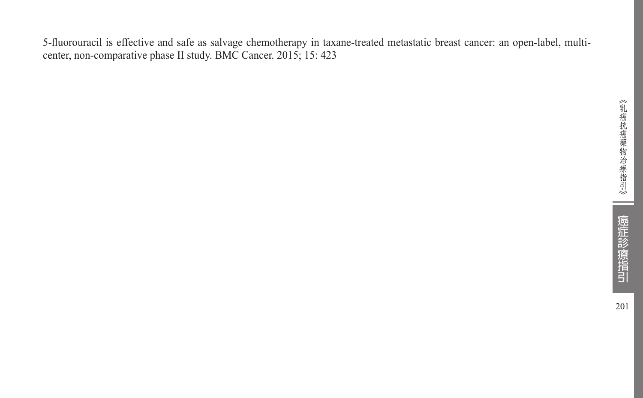5-fluorouracil is effective and safe as salvage chemotherapy in taxane-treated metastatic breast cancer: an open-label, multicenter, non-comparative phase II study. BMC Cancer. 2015; 15: 423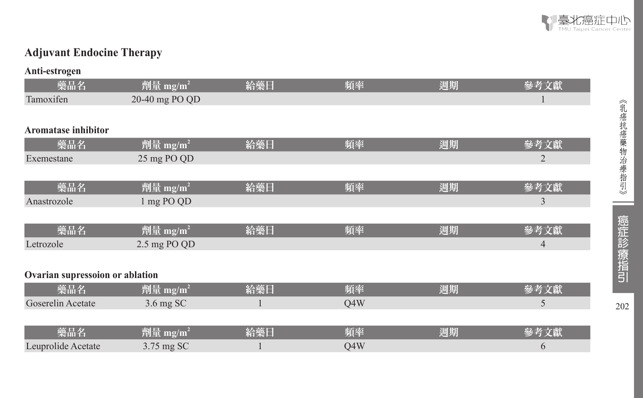

## **Adjuvant Endocine Therapy**

| Anti-estrogen                   |                      |     |     |    |                |
|---------------------------------|----------------------|-----|-----|----|----------------|
| 藥品名                             | 劑量 mg/m <sup>2</sup> | 給藥日 | 頻率  | 週期 | 參考文獻           |
| Tamoxifen                       | 20-40 mg PO QD       |     |     |    |                |
|                                 |                      |     |     |    |                |
| <b>Aromatase inhibitor</b>      |                      |     |     |    |                |
| 藥品名                             | 劑量 mg/m <sup>2</sup> | 給藥日 | 頻率  | 週期 | 參考文獻           |
| Exemestane                      | 25 mg PO QD          |     |     |    | $\overline{2}$ |
|                                 |                      |     |     |    |                |
| 藥品名                             | 劑量 mg/m <sup>2</sup> | 給藥日 | 頻率  | 週期 | 參考文獻           |
| Anastrozole                     | 1 mg PO QD           |     |     |    | 3              |
|                                 |                      |     |     |    |                |
| 藥品名                             | 劑量 mg/m <sup>2</sup> | 給藥日 | 頻率  | 週期 | 參考文獻           |
| Letrozole                       | 2.5 mg PO QD         |     |     |    | $\overline{4}$ |
|                                 |                      |     |     |    |                |
| Ovarian supressoion or ablation |                      |     |     |    |                |
| 藥品名                             | 劑量 mg/m <sup>2</sup> | 給藥日 | 頻率  | 週期 | 參考文獻           |
| Goserelin Acetate               | 3.6 mg SC            |     | Q4W |    | 5              |
|                                 |                      |     |     |    |                |
| 藥品名                             | 劑量 mg/m <sup>2</sup> | 給藥日 | 頻率  | 週期 | 參考文獻           |
| Leuprolide Acetate              | 3.75 mg SC           |     | Q4W |    | 6              |

202

 $\sim$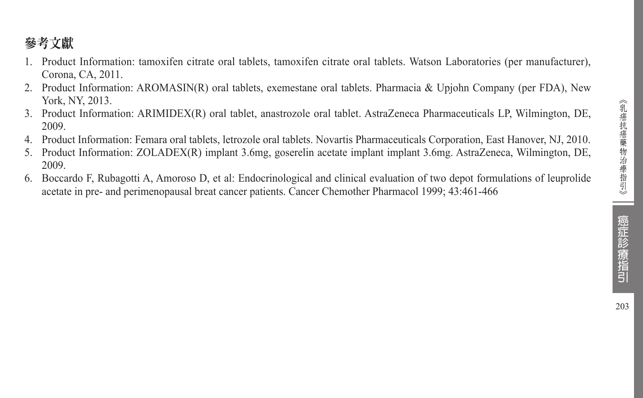## 參考文獻

- 1. Product Information: tamoxifen citrate oral tablets, tamoxifen citrate oral tablets. Watson Laboratories (per manufacturer), Corona, CA, 2011.
- 2. Product Information: AROMASIN(R) oral tablets, exemestane oral tablets. Pharmacia & Upjohn Company (per FDA), New York, NY, 2013.
- 3. Product Information: ARIMIDEX(R) oral tablet, anastrozole oral tablet. AstraZeneca Pharmaceuticals LP, Wilmington, DE, 2009.
- 4. Product Information: Femara oral tablets, letrozole oral tablets. Novartis Pharmaceuticals Corporation, East Hanover, NJ, 2010.
- 5. Product Information: ZOLADEX(R) implant 3.6mg, goserelin acetate implant implant 3.6mg. AstraZeneca, Wilmington, DE, 2009.
- 6. Boccardo F, Rubagotti A, Amoroso D, et al: Endocrinological and clinical evaluation of two depot formulations of leuprolide acetate in pre- and perimenopausal breat cancer patients. Cancer Chemother Pharmacol 1999; 43:461-466

癌症診療指引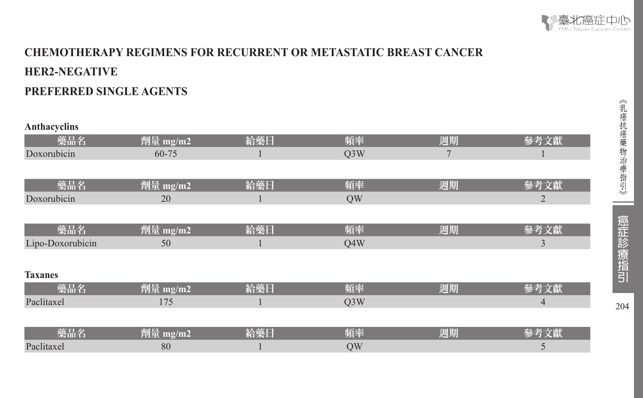

## **CHEMOTHERAPY REGIMENS FOR RECURRENT OR METASTATIC BREAST CANCER HER2-NEGATIVE PREFERRED SINGLE AGENTS**

| Anthacyclins     |          |     |                  |    |                |
|------------------|----------|-----|------------------|----|----------------|
| 藥品名              | 劑量 mg/m2 | 給藥日 | 頻率               | 週期 | 參考文獻           |
| Doxorubicin      | 60-75    |     | Q <sub>3</sub> W | 7  |                |
|                  |          |     |                  |    |                |
| 藥品名              | 劑量 mg/m2 | 給藥日 | 頻率               | 週期 | 參考文獻           |
| Doxorubicin      | 20       |     | QW               |    | $\overline{2}$ |
|                  |          |     |                  |    |                |
| 藥品名              | 劑量 mg/m2 | 給藥日 | 頻率               | 週期 | 參考文獻           |
| Lipo-Doxorubicin | 50       |     | Q4W              |    | 3              |
|                  |          |     |                  |    |                |
| <b>Taxanes</b>   |          |     |                  |    |                |
| 藥品名              | 劑量 mg/m2 | 給藥日 | 頻率               | 週期 | 參考文獻           |
| Paclitaxel       | 175      |     | Q <sub>3</sub> W |    | $\overline{4}$ |
|                  |          |     |                  |    |                |
| 藥品名              | 劑量 mg/m2 | 給藥日 | 頻率               | 週期 | 參考文獻           |
| Paclitaxel       | 80       |     | QW               |    | 5              |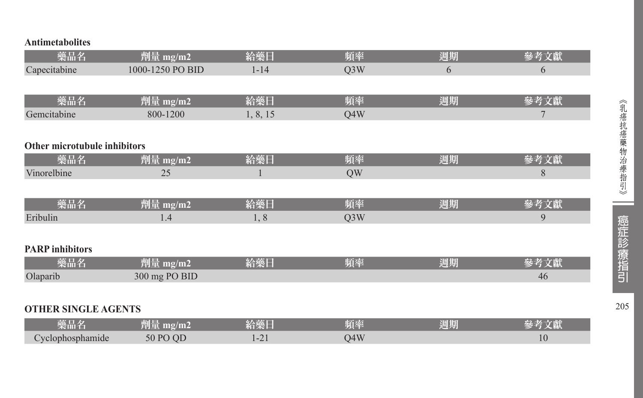| <b>Antimetabolites</b>       |                  |          |                  |    |      |
|------------------------------|------------------|----------|------------------|----|------|
| 藥品名                          | 劑量 mg/m2         | 給藥日      | 頻率               | 週期 | 參考文獻 |
| Capecitabine                 | 1000-1250 PO BID | $1 - 14$ | Q <sub>3</sub> W | 6  | 6    |
|                              |                  |          |                  |    |      |
| 藥品名                          | 劑量 mg/m2         | 給藥日      | 頻率               | 週期 | 參考文獻 |
| Gemcitabine                  | 800-1200         | 1, 8, 15 | Q4W              |    | 7    |
|                              |                  |          |                  |    |      |
| Other microtubule inhibitors |                  |          |                  |    |      |
| 藥品名                          | 劑量 mg/m2         | 給藥日      | 頻率               | 週期 | 參考文獻 |
| Vinorelbine                  | 25               |          | QW               |    | 8    |
|                              |                  |          |                  |    |      |
| 藥品名                          | 劑量 mg/m2         | 給藥日      | 頻率               | 週期 | 參考文獻 |
| Eribulin                     | 1.4              | 1, 8     | Q <sub>3</sub> W |    | 9    |
|                              |                  |          |                  |    |      |
| <b>PARP</b> inhibitors       |                  |          |                  |    |      |
| 藥品名                          | 劑量 mg/m2         | 給藥日      | 頻率               | 週期 | 參考文獻 |
| Olaparib                     | 300 mg PO BID    |          |                  |    | 46   |
|                              |                  |          |                  |    |      |
| <b>OTHER SINGLE AGENTS</b>   |                  |          |                  |    |      |
| 藥品名                          | 劑量 mg/m2         | 給藥日      | 頻率               | 週期 | 參考文獻 |
| Cyclophosphamide             | 50 PO QD         | $1 - 21$ | Q4W              |    | 10   |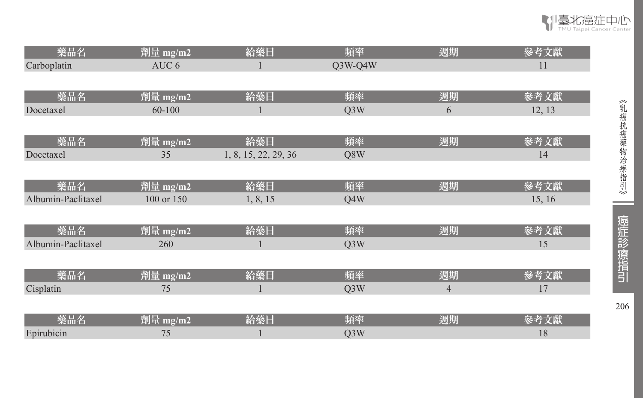

S

臺北癌症中心 TMU Taipei Cancer Center

| 藥品名                     | ומצ                   | - 33<br><b>TANK BALL</b> | 頃率   | 1 <del>77</del><br>週期 |          |
|-------------------------|-----------------------|--------------------------|------|-----------------------|----------|
| $\sqrt{ }$<br>Docetaxel | $\tilde{\phantom{a}}$ | $\sim$<br>, so           | 78 U |                       | $\cdots$ |

| 藥品名                | 削量<br>$m\Omega/m\lambda$ | 給藥日         | 頃率  | 週期 |               |
|--------------------|--------------------------|-------------|-----|----|---------------|
| Albumin-Paclitaxel | 100 or 150               | 815<br>0.10 | O4W |    | <sup>16</sup> |

| 楽品名        |     | 暗み | .<br>nhid. |  |
|------------|-----|----|------------|--|
| $A^T$<br>. | 260 |    |            |  |
|            |     |    |            |  |

| ___<br>樂品名 | na Le<br>$m\rho/m$<br>en la<br>4451 | 必靈厂 | 陌索 | 週期 |  |
|------------|-------------------------------------|-----|----|----|--|
| Cisplatin  | $\overline{a}$                      |     |    |    |  |

| 3412       |                          | <b><i>TANKS</i></b> | .<br>a mu |  |
|------------|--------------------------|---------------------|-----------|--|
| Жщт        |                          |                     |           |  |
| Epirubicin | $\overline{\phantom{a}}$ |                     |           |  |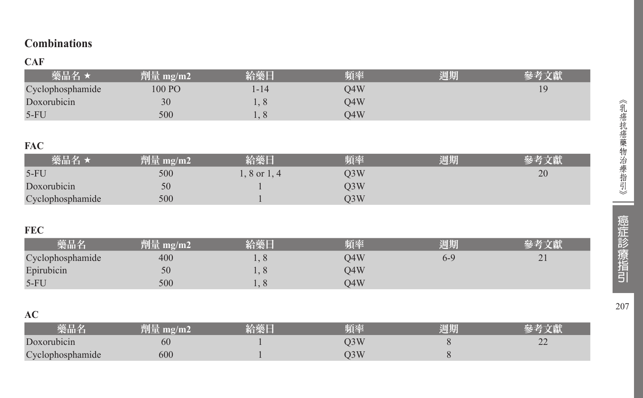## **Combinations**

## **CAF**

| 藥品名              | 劑量<br>me/m2 | 給藥日                           | 頻率  | 週期 |    |
|------------------|-------------|-------------------------------|-----|----|----|
| Cyclophosphamide | 100 PO      | 1-14                          | )4W |    | ۱۹ |
| Doxorubicin      | 30          |                               | )4W |    |    |
| $5-FU$           | 500         | $\mathbf{1} \cdot \mathbf{0}$ | 04W |    |    |

### **FAC**

| 藥品名 ★            | 劑量 mg/m2 | 給藥日          | 頻率  | 週期 | 參考文獻 |
|------------------|----------|--------------|-----|----|------|
| $5-FU$           | 500      | $.8$ or 1, 4 | )3W |    | 20   |
| Doxorubicin      | 50       |              | )3W |    |      |
| Cyclophosphamide | 500      |              | )3W |    |      |

## **FEC**

| __               |       |     |             |     |                    |
|------------------|-------|-----|-------------|-----|--------------------|
| 樂品名              | mg/m2 |     | <b>TEAL</b> | 四期  |                    |
| Cyclophosphamide | 400   |     | O4W         | 6-5 | $\sim$<br>$\sim$ 1 |
| Epirubicin       | 50    |     | O4W         |     |                    |
| $5-FL$           | 500   | . . | .)4W        |     |                    |

## **AC**

| 磐晶名                        |     | <b>TANA</b> | 陌奉 | 週期 |                |
|----------------------------|-----|-------------|----|----|----------------|
| Doxorubicin                | 60  |             |    |    | $\sim$<br>سدسد |
| Cyclophosphamide<br>$\sim$ | 600 |             |    |    |                |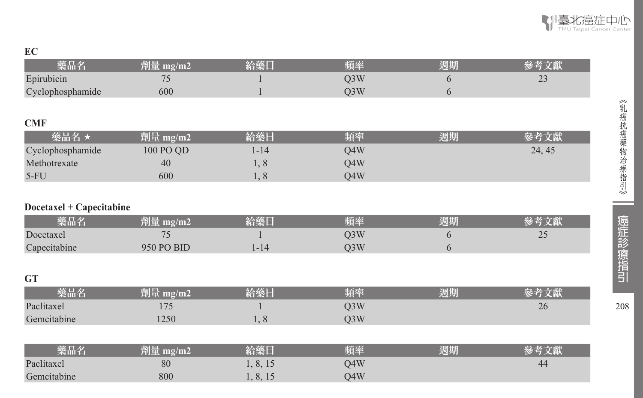

《乳癌抗癌藥物治療指引》 | 癌症診療指引 208

癌症診療指引

208

ᆖ

《乳癌抗癌藥物治療指引》

#### **EC**

| 藥品名                      | 劑量 mg/m2   | 給藥日      | 頻率               | 週期 | 參考文獻   |
|--------------------------|------------|----------|------------------|----|--------|
| Epirubicin               | 75         |          | Q3W              | 6  | 23     |
| Cyclophosphamide         | 600        | 1        | Q3W              | 6  |        |
|                          |            |          |                  |    |        |
| <b>CMF</b>               |            |          |                  |    |        |
| 藥品名★                     | 劑量 mg/m2   | 給藥日      | 頻率               | 週期 | 參考文獻   |
| Cyclophosphamide         | 100 PO QD  | $1 - 14$ | Q4W              |    | 24, 45 |
| Methotrexate             | 40         | 1,8      | Q4W              |    |        |
| $5-FU$                   | 600        | 1, 8     | Q4W              |    |        |
|                          |            |          |                  |    |        |
| Docetaxel + Capecitabine |            |          |                  |    |        |
| 藥品名                      | 劑量 mg/m2   | 給藥日      | 頻率               | 週期 | 參考文獻   |
| Docetaxel                | 75         |          | Q3W              | 6  | 25     |
| Capecitabine             | 950 PO BID | $1 - 14$ | Q3W              | 6  |        |
|                          |            |          |                  |    |        |
| <b>GT</b>                |            |          |                  |    |        |
| 藥品名                      | 劑量 mg/m2   | 給藥日      | 頻率               | 週期 | 參考文獻   |
| Paclitaxel               | 175        |          | Q <sub>3</sub> W |    | 26     |
| Gemcitabine              | 1250       | 1, 8     | Q <sub>3</sub> W |    |        |
|                          |            |          |                  |    |        |
| 藥品名                      | 劑量 mg/m2   | 給藥日      | 頻率               | 週期 | 參考文獻   |
| Paclitaxel               | 80         | 1, 8, 15 | Q4W              |    | 44     |
| Gemcitabine              | 800        | 1, 8, 15 | Q4W              |    |        |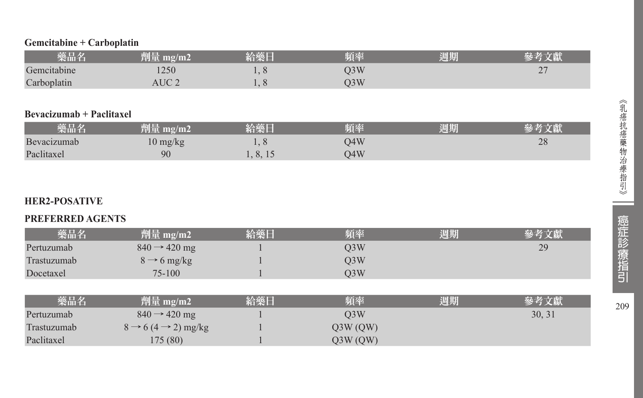#### **Gemcitabine + Carboplatin**

| 藥品名         | mg/m2<br>tier    | 給藥日             | 頻率  | 週期 |        |
|-------------|------------------|-----------------|-----|----|--------|
| Gemcitabine | 250              | $\tilde{ }$     | )3W |    | $\sim$ |
| Carboplatin | AUC <sub>2</sub> | .<br>$\tilde{}$ | )3W |    |        |

#### **Bevacizumab + Paclitaxel**

| 藥品名         | 劑量 mg/m2           | 給藥日      | 頻率  | 週期 |    |
|-------------|--------------------|----------|-----|----|----|
| Bevacizumab | $10 \text{ mg/kg}$ |          | D4W |    | 28 |
| Paclitaxel  | 90                 | 1, 8, 15 | J4W |    |    |

## **HER2-POSATIVE**

#### **PREFERRED AGENTS**

| 藥品名         | 劑量 mg/m2                                  | 給藥日 | 頻率               | 週期 | 參考文獻   |
|-------------|-------------------------------------------|-----|------------------|----|--------|
| Pertuzumab  | $840 \rightarrow 420$ mg                  |     | Q <sub>3</sub> W |    | 29     |
| Trastuzumab | $8 \rightarrow 6$ mg/kg                   |     | Q <sub>3</sub> W |    |        |
| Docetaxel   | 75-100                                    |     | Q <sub>3</sub> W |    |        |
|             |                                           |     |                  |    |        |
| 藥品名         | 劑量 mg/m2                                  | 給藥日 | 頻率               | 週期 | 參考文獻   |
| Pertuzumab  | $840 \rightarrow 420$ mg                  |     | O <sub>3</sub> W |    | 30, 31 |
| Trastuzumab | $8 \rightarrow 6 (4 \rightarrow 2)$ mg/kg |     | Q3W(QW)          |    |        |
| Paclitaxel  | 175(80)                                   |     | Q3W(QW)          |    |        |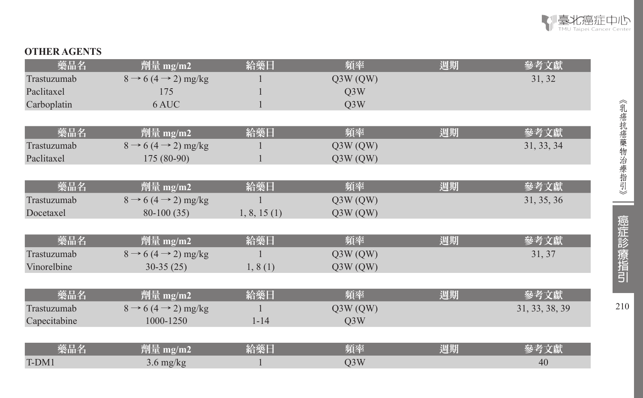

#### **OTHER AGENTS**

| 藥品名          | 劑量 mg/m2                                  | 給藥日         | 頻率               | 週期 | 參考文獻           |
|--------------|-------------------------------------------|-------------|------------------|----|----------------|
| Trastuzumab  | $8 \rightarrow 6 (4 \rightarrow 2)$ mg/kg |             | Q3W(QW)          |    | 31, 32         |
| Paclitaxel   | 175                                       |             | Q <sub>3</sub> W |    |                |
| Carboplatin  | 6 AUC                                     |             | Q <sub>3</sub> W |    |                |
|              |                                           |             |                  |    |                |
| 藥品名          | 劑量 mg/m2                                  | 給藥日         | 頻率               | 週期 | 參考文獻           |
| Trastuzumab  | $8 \rightarrow 6 (4 \rightarrow 2)$ mg/kg |             | Q3W(QW)          |    | 31, 33, 34     |
| Paclitaxel   | 175 (80-90)                               |             | Q3W(QW)          |    |                |
|              |                                           |             |                  |    |                |
| 藥品名          | 劑量 mg/m2                                  | 給藥日         | 頻率               | 週期 | 參考文獻           |
| Trastuzumab  | $8 \rightarrow 6 (4 \rightarrow 2)$ mg/kg |             | Q3W(QW)          |    | 31, 35, 36     |
| Docetaxel    | $80-100(35)$                              | 1, 8, 15(1) | Q3W(QW)          |    |                |
|              |                                           |             |                  |    |                |
| 藥品名          | 劑量 mg/m2                                  | 給藥日         | 頻率               | 週期 | 參考文獻           |
| Trastuzumab  | $8 \rightarrow 6 (4 \rightarrow 2)$ mg/kg |             | Q3W(QW)          |    | 31, 37         |
| Vinorelbine  | $30-35(25)$                               | 1, 8(1)     | Q3W(QW)          |    |                |
|              |                                           |             |                  |    |                |
| 藥品名          | 劑量 mg/m2                                  | 給藥日         | 頻率               | 週期 | 參考文獻           |
| Trastuzumab  | $8 \rightarrow 6 (4 \rightarrow 2)$ mg/kg |             | Q3W(QW)          |    | 31, 33, 38, 39 |
| Capecitabine | 1000-1250                                 | $1 - 14$    | Q <sub>3</sub> W |    |                |
|              |                                           |             |                  |    |                |
| 藥品名          | 劑量 mg/m2                                  | 給藥日         | 頻率               | 週期 | 參考文獻           |
| T-DM1        | $3.6 \text{ mg/kg}$                       |             | Q <sub>3</sub> W |    | 40             |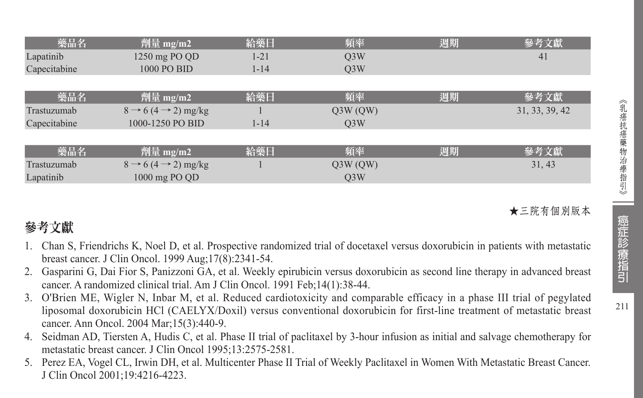| 藥品名          | 劑量 mg/m2                                  | 給藥日      | 頻率               | 週期 | 參考文獻           |
|--------------|-------------------------------------------|----------|------------------|----|----------------|
| Lapatinib    | 1250 mg PO QD                             | $1 - 21$ | Q <sub>3</sub> W |    | 41             |
| Capecitabine | 1000 PO BID                               | $1 - 14$ | O <sub>3</sub> W |    |                |
|              |                                           |          |                  |    |                |
| 藥品名          | 劑量 mg/m2                                  | 給藥日      | 頻率               | 週期 | 參考文獻           |
| Trastuzumab  | $8 \rightarrow 6 (4 \rightarrow 2)$ mg/kg |          | Q3W(QW)          |    | 31, 33, 39, 42 |
| Capecitabine | 1000-1250 PO BID                          | $1 - 14$ | O <sub>3</sub> W |    |                |
|              |                                           |          |                  |    |                |
| 藥品名          | 劑量 mg/m2                                  | 給藥日      | 頻率               | 週期 | 參考文獻           |
| Trastuzumab  | $8 \rightarrow 6 (4 \rightarrow 2)$ mg/kg |          | Q3W(QW)          |    | 31, 43         |
| Lapatinib    | 1000 mg PO QD                             |          | O <sub>3</sub> W |    |                |

## ★三院有個別版本

## 參考文獻

- 1. Chan S, Friendrichs K, Noel D, et al. Prospective randomized trial of docetaxel versus doxorubicin in patients with metastatic breast cancer. J Clin Oncol. 1999 Aug;17(8):2341-54.
- 2. Gasparini G, Dai Fior S, Panizzoni GA, et al. Weekly epirubicin versus doxorubicin as second line therapy in advanced breast cancer. A randomized clinical trial. Am J Clin Oncol. 1991 Feb;14(1):38-44.
- 3. O'Brien ME, Wigler N, Inbar M, et al. Reduced cardiotoxicity and comparable efficacy in a phase III trial of pegylated liposomal doxorubicin HCl (CAELYX/Doxil) versus conventional doxorubicin for first-line treatment of metastatic breast cancer. Ann Oncol. 2004 Mar;15(3):440-9.
- 4. Seidman AD, Tiersten A, Hudis C, et al. Phase II trial of paclitaxel by 3-hour infusion as initial and salvage chemotherapy for metastatic breast cancer. J Clin Oncol 1995;13:2575-2581.
- 5. Perez EA, Vogel CL, Irwin DH, et al. Multicenter Phase II Trial of Weekly Paclitaxel in Women With Metastatic Breast Cancer. J Clin Oncol 2001;19:4216-4223.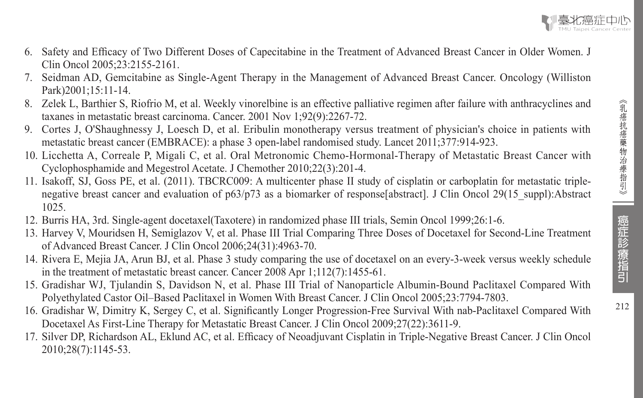

- 6. Safety and Efficacy of Two Different Doses of Capecitabine in the Treatment of Advanced Breast Cancer in Older Women. J Clin Oncol 2005;23:2155-2161.
- 7. Seidman AD, Gemcitabine as Single-Agent Therapy in the Management of Advanced Breast Cancer. Oncology (Williston Park)2001;15:11-14
- 8. Zelek L, Barthier S, Riofrio M, et al. Weekly vinorelbine is an effective palliative regimen after failure with anthracyclines and taxanes in metastatic breast carcinoma. Cancer. 2001 Nov 1;92(9):2267-72.
- 9. Cortes J, O'Shaughnessy J, Loesch D, et al. Eribulin monotherapy versus treatment of physician's choice in patients with metastatic breast cancer (EMBRACE): a phase 3 open-label randomised study. Lancet 2011;377:914-923.
- 10. Licchetta A, Correale P, Migali C, et al. Oral Metronomic Chemo-Hormonal-Therapy of Metastatic Breast Cancer with Cyclophosphamide and Megestrol Acetate. J Chemother 2010;22(3):201-4.
- 11. Isakoff, SJ, Goss PE, et al. (2011). TBCRC009: A multicenter phase II study of cisplatin or carboplatin for metastatic triplenegative breast cancer and evaluation of  $p63/p73$  as a biomarker of response[abstract]. J Clin Oncol 29(15 suppl):Abstract 1025.
- 12. Burris HA, 3rd. Single-agent docetaxel(Taxotere) in randomized phase III trials, Semin Oncol 1999;26:1-6.
- 13. Harvey V, Mouridsen H, Semiglazov V, et al. Phase III Trial Comparing Three Doses of Docetaxel for Second-Line Treatment of Advanced Breast Cancer. J Clin Oncol 2006;24(31):4963-70.
- 14. Rivera E, Mejia JA, Arun BJ, et al. Phase 3 study comparing the use of docetaxel on an every-3-week versus weekly schedule in the treatment of metastatic breast cancer. Cancer 2008 Apr 1;112(7):1455-61.
- 15. Gradishar WJ, Tjulandin S, Davidson N, et al. Phase III Trial of Nanoparticle Albumin-Bound Paclitaxel Compared With Polyethylated Castor Oil–Based Paclitaxel in Women With Breast Cancer. J Clin Oncol 2005;23:7794-7803.
- 16. Gradishar W, Dimitry K, Sergey C, et al. Significantly Longer Progression-Free Survival With nab-Paclitaxel Compared With Docetaxel As First-Line Therapy for Metastatic Breast Cancer. J Clin Oncol 2009;27(22):3611-9.
- 17. Silver DP, Richardson AL, Eklund AC, et al. Efficacy of Neoadjuvant Cisplatin in Triple-Negative Breast Cancer. J Clin Oncol 2010;28(7):1145-53.

癌症診療指引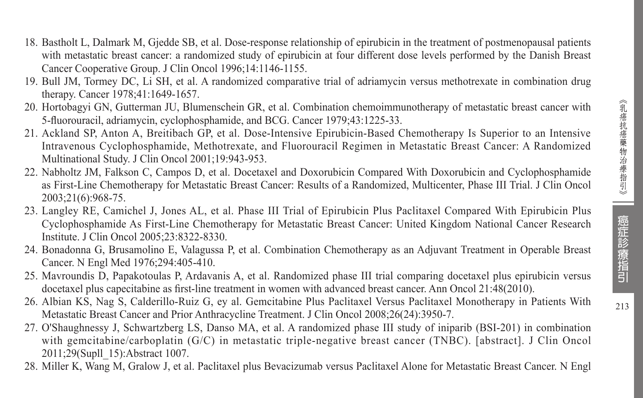- 18. Bastholt L, Dalmark M, Gjedde SB, et al. Dose-response relationship of epirubicin in the treatment of postmenopausal patients with metastatic breast cancer: a randomized study of epirubicin at four different dose levels performed by the Danish Breast Cancer Cooperative Group. J Clin Oncol 1996;14:1146-1155.
- 19. Bull JM, Tormey DC, Li SH, et al. A randomized comparative trial of adriamycin versus methotrexate in combination drug therapy. Cancer 1978;41:1649-1657.
- 20. Hortobagyi GN, Gutterman JU, Blumenschein GR, et al. Combination chemoimmunotherapy of metastatic breast cancer with 5-fluorouracil, adriamycin, cyclophosphamide, and BCG. Cancer 1979;43:1225-33.
- 21. Ackland SP, Anton A, Breitibach GP, et al. Dose-Intensive Epirubicin-Based Chemotherapy Is Superior to an Intensive Intravenous Cyclophosphamide, Methotrexate, and Fluorouracil Regimen in Metastatic Breast Cancer: A Randomized Multinational Study. J Clin Oncol 2001;19:943-953.
- 22. Nabholtz JM, Falkson C, Campos D, et al. Docetaxel and Doxorubicin Compared With Doxorubicin and Cyclophosphamide as First-Line Chemotherapy for Metastatic Breast Cancer: Results of a Randomized, Multicenter, Phase III Trial. J Clin Oncol 2003;21(6):968-75.
- 23. Langley RE, Camichel J, Jones AL, et al. Phase III Trial of Epirubicin Plus Paclitaxel Compared With Epirubicin Plus Cyclophosphamide As First-Line Chemotherapy for Metastatic Breast Cancer: United Kingdom National Cancer Research Institute. J Clin Oncol 2005;23:8322-8330.
- 24. Bonadonna G, Brusamolino E, Valagussa P, et al. Combination Chemotherapy as an Adjuvant Treatment in Operable Breast Cancer. N Engl Med 1976;294:405-410.
- 25. Mavroundis D, Papakotoulas P, Ardavanis A, et al. Randomized phase III trial comparing docetaxel plus epirubicin versus docetaxel plus capecitabine as first-line treatment in women with advanced breast cancer. Ann Oncol 21:48(2010).
- 26. Albian KS, Nag S, Calderillo-Ruiz G, ey al. Gemcitabine Plus Paclitaxel Versus Paclitaxel Monotherapy in Patients With Metastatic Breast Cancer and Prior Anthracycline Treatment. J Clin Oncol 2008;26(24):3950-7.
- 27. O'Shaughnessy J, Schwartzberg LS, Danso MA, et al. A randomized phase III study of iniparib (BSI-201) in combination with gemcitabine/carboplatin (G/C) in metastatic triple-negative breast cancer (TNBC). [abstract]. J Clin Oncol 2011;29(Supll\_15):Abstract 1007.
- 28. Miller K, Wang M, Gralow J, et al. Paclitaxel plus Bevacizumab versus Paclitaxel Alone for Metastatic Breast Cancer. N Engl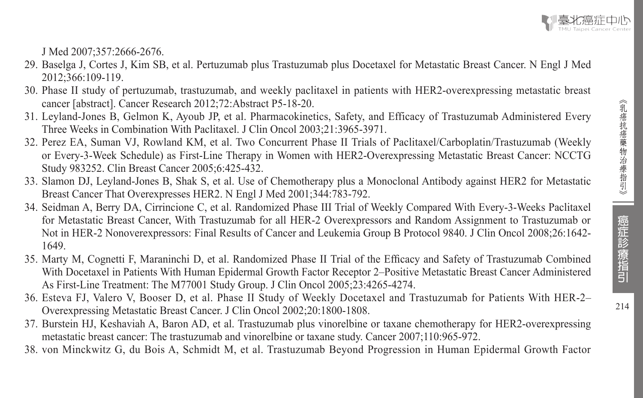J Med 2007;357:2666-2676.

- 29. Baselga J, Cortes J, Kim SB, et al. Pertuzumab plus Trastuzumab plus Docetaxel for Metastatic Breast Cancer. N Engl J Med 2012;366:109-119.
- 30. Phase II study of pertuzumab, trastuzumab, and weekly paclitaxel in patients with HER2-overexpressing metastatic breast cancer [abstract]. Cancer Research 2012;72:Abstract P5-18-20.
- 31. Leyland-Jones B, Gelmon K, Ayoub JP, et al. Pharmacokinetics, Safety, and Efficacy of Trastuzumab Administered Every Three Weeks in Combination With Paclitaxel. J Clin Oncol 2003;21:3965-3971.
- 32. Perez EA, Suman VJ, Rowland KM, et al. Two Concurrent Phase II Trials of Paclitaxel/Carboplatin/Trastuzumab (Weekly or Every-3-Week Schedule) as First-Line Therapy in Women with HER2-Overexpressing Metastatic Breast Cancer: NCCTG Study 983252. Clin Breast Cancer 2005;6:425-432.
- 33. Slamon DJ, Leyland-Jones B, Shak S, et al. Use of Chemotherapy plus a Monoclonal Antibody against HER2 for Metastatic Breast Cancer That Overexpresses HER2. N Engl J Med 2001;344:783-792.
- 34. Seidman A, Berry DA, Cirrincione C, et al. Randomized Phase III Trial of Weekly Compared With Every-3-Weeks Paclitaxel for Metastatic Breast Cancer, With Trastuzumab for all HER-2 Overexpressors and Random Assignment to Trastuzumab or Not in HER-2 Nonoverexpressors: Final Results of Cancer and Leukemia Group B Protocol 9840. J Clin Oncol 2008;26:1642- 1649.
- 35. Marty M, Cognetti F, Maraninchi D, et al. Randomized Phase II Trial of the Efficacy and Safety of Trastuzumab Combined With Docetaxel in Patients With Human Epidermal Growth Factor Receptor 2–Positive Metastatic Breast Cancer Administered As First-Line Treatment: The M77001 Study Group. J Clin Oncol 2005;23:4265-4274.
- 36. Esteva FJ, Valero V, Booser D, et al. Phase II Study of Weekly Docetaxel and Trastuzumab for Patients With HER-2– Overexpressing Metastatic Breast Cancer. J Clin Oncol 2002;20:1800-1808.
- 37. Burstein HJ, Keshaviah A, Baron AD, et al. Trastuzumab plus vinorelbine or taxane chemotherapy for HER2-overexpressing metastatic breast cancer: The trastuzumab and vinorelbine or taxane study. Cancer 2007;110:965-972.
- 38. von Minckwitz G, du Bois A, Schmidt M, et al. Trastuzumab Beyond Progression in Human Epidermal Growth Factor

癌症診療指引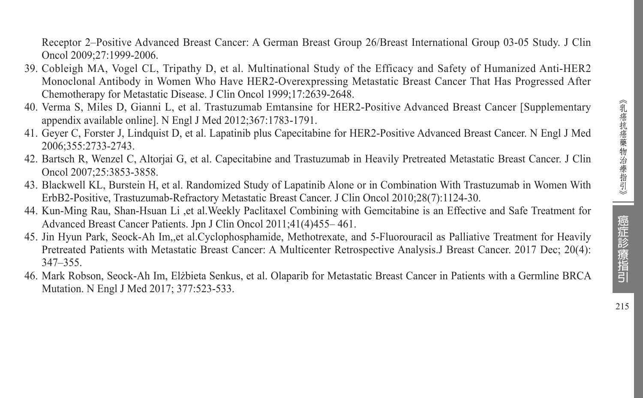Receptor 2–Positive Advanced Breast Cancer: A German Breast Group 26/Breast International Group 03-05 Study. J Clin Oncol 2009;27:1999-2006.

- 39. Cobleigh MA, Vogel CL, Tripathy D, et al. Multinational Study of the Efficacy and Safety of Humanized Anti-HER2 Monoclonal Antibody in Women Who Have HER2-Overexpressing Metastatic Breast Cancer That Has Progressed After Chemotherapy for Metastatic Disease. J Clin Oncol 1999;17:2639-2648.
- 40. Verma S, Miles D, Gianni L, et al. Trastuzumab Emtansine for HER2-Positive Advanced Breast Cancer [Supplementary appendix available online]. N Engl J Med 2012;367:1783-1791.
- 41. Geyer C, Forster J, Lindquist D, et al. Lapatinib plus Capecitabine for HER2-Positive Advanced Breast Cancer. N Engl J Med 2006;355:2733-2743.
- 42. Bartsch R, Wenzel C, Altorjai G, et al. Capecitabine and Trastuzumab in Heavily Pretreated Metastatic Breast Cancer. J Clin Oncol 2007;25:3853-3858.
- 43. Blackwell KL, Burstein H, et al. Randomized Study of Lapatinib Alone or in Combination With Trastuzumab in Women With ErbB2-Positive, Trastuzumab-Refractory Metastatic Breast Cancer. J Clin Oncol 2010;28(7):1124-30.
- 44. Kun-Ming Rau, Shan-Hsuan Li ,et al.Weekly Paclitaxel Combining with Gemcitabine is an Effective and Safe Treatment for Advanced Breast Cancer Patients. Jpn J Clin Oncol 2011;41(4)455– 461.
- 45. Jin Hyun Park, Seock-Ah Im,,et al.Cyclophosphamide, Methotrexate, and 5-Fluorouracil as Palliative Treatment for Heavily Pretreated Patients with Metastatic Breast Cancer: A Multicenter Retrospective Analysis.J Breast Cancer. 2017 Dec; 20(4): 347–355.
- 46. Mark Robson, Seock-Ah Im, Elżbieta Senkus, et al. Olaparib for Metastatic Breast Cancer in Patients with a Germline BRCA Mutation. N Engl J Med 2017; 377:523-533.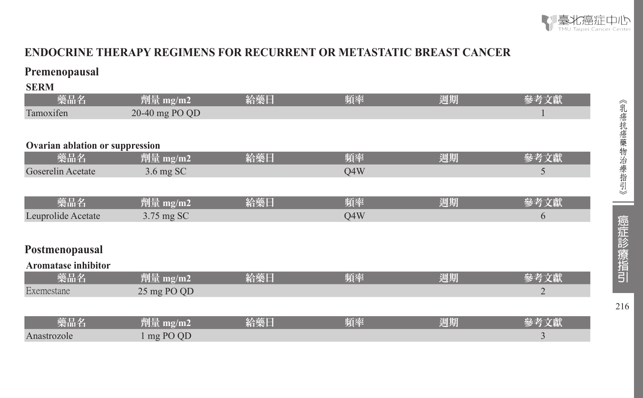

## **ENDOCRINE THERAPY REGIMENS FOR RECURRENT OR METASTATIC BREAST CANCER**

## **Premenopausal**

**SERM** 

| эргий                           |                     |     |     |    |                |
|---------------------------------|---------------------|-----|-----|----|----------------|
| 藥品名                             | 劑量 mg/m2            | 給藥日 | 頻率  | 週期 | 參考文獻           |
| Tamoxifen                       | 20-40 mg PO QD      |     |     |    |                |
|                                 |                     |     |     |    |                |
| Ovarian ablation or suppression |                     |     |     |    |                |
| 藥品名                             | 劑量 mg/m2            | 給藥日 | 頻率  | 週期 | 參考文獻           |
| Goserelin Acetate               | $3.6 \text{ mg}$ SC |     | Q4W |    | 5              |
|                                 |                     |     |     |    |                |
| 藥品名                             | 劑量 mg/m2            | 給藥日 | 頻率  | 週期 | 參考文獻           |
| Leuprolide Acetate              | 3.75 mg SC          |     | Q4W |    | 6              |
|                                 |                     |     |     |    |                |
| Postmenopausal                  |                     |     |     |    |                |
|                                 |                     |     |     |    |                |
| Aromatase inhibitor             |                     |     |     |    |                |
| 藥品名                             | 劑量 mg/m2            | 給藥日 | 頻率  | 週期 | 參考文獻           |
| Exemestane                      | 25 mg PO QD         |     |     |    | $\overline{2}$ |
|                                 |                     |     |     |    |                |
| 藥品名                             | 劑量 mg/m2            | 給藥日 | 頻率  | 週期 | 參考文獻           |
| Anastrozole                     | 1 mg PO QD          |     |     |    | 3              |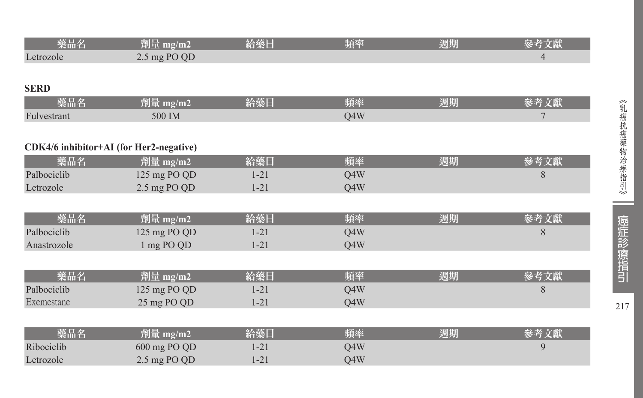| 藥品名         | 劑量 mg/m2                                | 給藥日      | 頻率  | 週期 | 參考文獻           |
|-------------|-----------------------------------------|----------|-----|----|----------------|
| Letrozole   | 2.5 mg PO QD                            |          |     |    | $\overline{4}$ |
|             |                                         |          |     |    |                |
| <b>SERD</b> |                                         |          |     |    |                |
| 藥品名         | 劑量 mg/m2                                | 給藥日      | 頻率  | 週期 | 參考文獻           |
| Fulvestrant | 500 IM                                  |          | Q4W |    | $\overline{7}$ |
|             |                                         |          |     |    |                |
|             | CDK4/6 inhibitor+AI (for Her2-negative) |          |     |    |                |
| 藥品名         | 劑量 mg/m2                                | 給藥日      | 頻率  | 週期 | 參考文獻           |
| Palbociclib | 125 mg PO QD                            | $1 - 21$ | Q4W |    | 8              |
| Letrozole   | 2.5 mg PO QD                            | $1 - 21$ | Q4W |    |                |
|             |                                         |          |     |    |                |
| 藥品名         | 劑量 mg/m2                                | 給藥日      | 頻率  | 週期 | 參考文獻           |
| Palbociclib | 125 mg PO QD                            | $1 - 21$ | Q4W |    | 8              |
| Anastrozole | 1 mg PO QD                              | $1 - 21$ | Q4W |    |                |
|             |                                         |          |     |    |                |
| 藥品名         | 劑量 mg/m2                                | 給藥日      | 頻率  | 週期 | 參考文獻           |
| Palbociclib | 125 mg PO QD                            | $1 - 21$ | Q4W |    | 8              |
| Exemestane  | 25 mg PO QD                             | $1 - 21$ | Q4W |    |                |
|             |                                         |          |     |    |                |
| 藥品名         | 劑量 mg/m2                                | 給藥日      | 頻率  | 週期 | 參考文獻           |
| Ribociclib  | 600 mg PO QD                            | $1 - 21$ | Q4W |    | 9              |
| Letrozole   | 2.5 mg PO QD                            | $1 - 21$ | Q4W |    |                |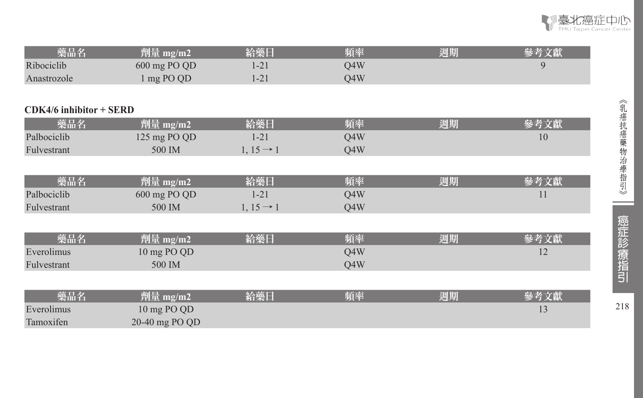

| 藥品名         | 劑量 mg/m2'               | 給藥日      | 頻率  | 淍期 |  |
|-------------|-------------------------|----------|-----|----|--|
| Ribociclib  | $600 \text{ mg }$ PO QD | $-21$    | 04W |    |  |
| Anastrozole | mg PO QD                | $1 - 21$ | O4W |    |  |

#### **CDK4/6 inhibitor + SERD**

| 藥品名         | 劑量 mg/m2     | 給藥日                   | 頻率  | 週期 |    |
|-------------|--------------|-----------------------|-----|----|----|
| Palbociclib | 125 mg PO QD | 1-21                  | O4W |    | 10 |
| Fulvestrant | 500 IM       | $1, 15 \rightarrow 1$ | O4W |    |    |
|             |              |                       |     |    |    |
|             |              |                       |     |    |    |

| 藥品名         | 劑量 mg/m2     | 給藥日                   | 頻率  | 週期 | 參考文獻 |
|-------------|--------------|-----------------------|-----|----|------|
| Palbociclib | 600 mg PO QD | $1 - 21$              | Q4W |    | 11   |
| Fulvestrant | 500 IM       | $1, 15 \rightarrow 1$ | O4W |    |      |
|             |              |                       |     |    |      |
| 藥品名         | 劑量 mg/m2     | 給藥日                   | 頻率  | 週期 | 參考文獻 |
| Everolimus  | 10 mg PO QD  |                       | Q4W |    | 12   |
| Fulvestrant | 500 IM       |                       | O4W |    |      |
|             |              |                       |     |    |      |

| 藥品名        | 劑量 mg/m2         | 給藥日 | 頻率 | 週期 |  |
|------------|------------------|-----|----|----|--|
| Everolimus | 10 mg PO QD      |     |    |    |  |
| Tamoxifen  | $20-40$ mg PO QD |     |    |    |  |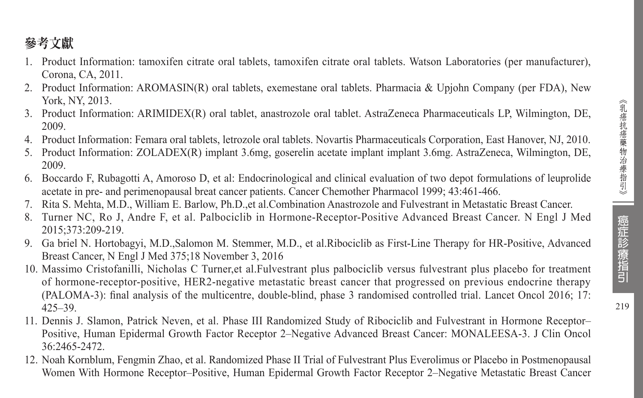219

## 參考文獻

- 1. Product Information: tamoxifen citrate oral tablets, tamoxifen citrate oral tablets. Watson Laboratories (per manufacturer), Corona, CA, 2011.
- 2. Product Information: AROMASIN(R) oral tablets, exemestane oral tablets. Pharmacia & Upjohn Company (per FDA), New York, NY, 2013.
- 3. Product Information: ARIMIDEX(R) oral tablet, anastrozole oral tablet. AstraZeneca Pharmaceuticals LP, Wilmington, DE, 2009.
- 4. Product Information: Femara oral tablets, letrozole oral tablets. Novartis Pharmaceuticals Corporation, East Hanover, NJ, 2010.
- 5. Product Information: ZOLADEX(R) implant 3.6mg, goserelin acetate implant implant 3.6mg. AstraZeneca, Wilmington, DE, 2009.
- 6. Boccardo F, Rubagotti A, Amoroso D, et al: Endocrinological and clinical evaluation of two depot formulations of leuprolide acetate in pre- and perimenopausal breat cancer patients. Cancer Chemother Pharmacol 1999; 43:461-466.
- 7. Rita S. Mehta, M.D., William E. Barlow, Ph.D.,et al.Combination Anastrozole and Fulvestrant in Metastatic Breast Cancer.
- 8. Turner NC, Ro J, Andre F, et al. Palbociclib in Hormone-Receptor-Positive Advanced Breast Cancer. N Engl J Med 2015;373:209-219.
- 9. Ga briel N. Hortobagyi, M.D.,Salomon M. Stemmer, M.D., et al.Ribociclib as First-Line Therapy for HR-Positive, Advanced Breast Cancer, N Engl J Med 375;18 November 3, 2016
- 10. Massimo Cristofanilli, Nicholas C Turner,et al.Fulvestrant plus palbociclib versus fulvestrant plus placebo for treatment of hormone-receptor-positive, HER2-negative metastatic breast cancer that progressed on previous endocrine therapy (PALOMA-3): final analysis of the multicentre, double-blind, phase 3 randomised controlled trial. Lancet Oncol 2016; 17: 425–39.
- 11. Dennis J. Slamon, Patrick Neven, et al. Phase III Randomized Study of Ribociclib and Fulvestrant in Hormone Receptor– Positive, Human Epidermal Growth Factor Receptor 2–Negative Advanced Breast Cancer: MONALEESA-3. J Clin Oncol 36:2465-2472.
- 12. Noah Kornblum, Fengmin Zhao, et al. Randomized Phase II Trial of Fulvestrant Plus Everolimus or Placebo in Postmenopausal Women With Hormone Receptor–Positive, Human Epidermal Growth Factor Receptor 2–Negative Metastatic Breast Cancer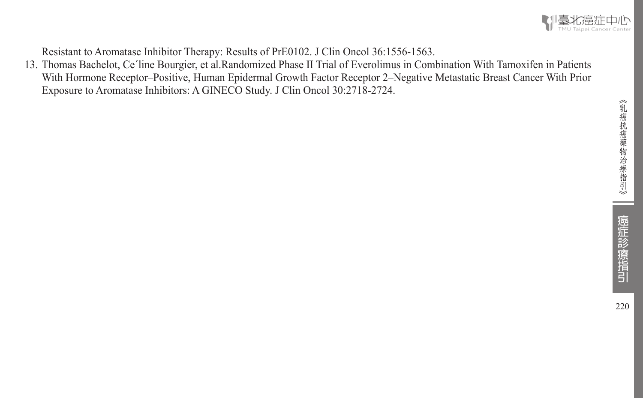

Resistant to Aromatase Inhibitor Therapy: Results of PrE0102. J Clin Oncol 36:1556-1563.

13. Thomas Bachelot, Ce´line Bourgier, et al.Randomized Phase II Trial of Everolimus in Combination With Tamoxifen in Patients With Hormone Receptor–Positive, Human Epidermal Growth Factor Receptor 2–Negative Metastatic Breast Cancer With Prior Exposure to Aromatase Inhibitors: A GINECO Study. J Clin Oncol 30:2718-2724.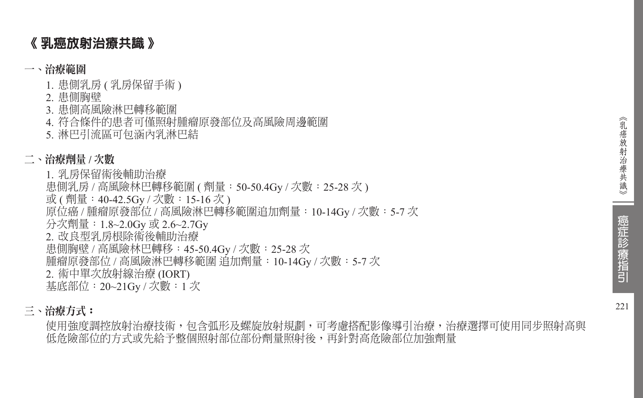## 《 乳癌放射治療共識 》

### 一、治療範圍

- 1. 患側乳房 (乳房保留手術)
- 2. 患側胸壁
- 3. 患側高風險淋巴轉移範圍
- 4. 符合條件的患者可僅照射腫瘤原發部位及高風險周邊範圍
- 5. 淋巴引流區可包涵內乳淋巴結

## 二、治療劑量 **/** 次數

- 1. 乳房保留術後輔助治療
- 患側乳房 / 高風險林巴轉移範圍 ( 劑量:50-50.4Gy / 次數:25-28 次 )
- 或 ( 劑量:40-42.5Gy / 次數:15-16 次 )
- 原位癌 / 腫瘤原發部位 / 高風險淋巴轉移範圍追加劑量: 10-14Gy / 次數: 5-7 次
- 分次劑量:1.8~2.0Gy 或 2.6~2.7Gy
- 2. 改良型乳房根除術後輔助治療
- 患側胸壁 / 高風險林巴轉移:45-50.4Gy / 次數:25-28 次
- 腫瘤原發部位 / 高風險淋巴轉移範圍 追加劑量:10-14Gy / 次數:5-7 次
- 2. 術中單次放射線治療 (IORT)

基底部位:20~21Gy / 次數:1 次

## 三、治療方式:

使用強度調控放射治療技術,包含弧形及螺旋放射規劃,可考慮搭配影像導引治療,治療選擇可使用同步照射高與 低危險部位的方式或先給予整個照射部位部份劑量照射後,再針對高危險部位加強劑量